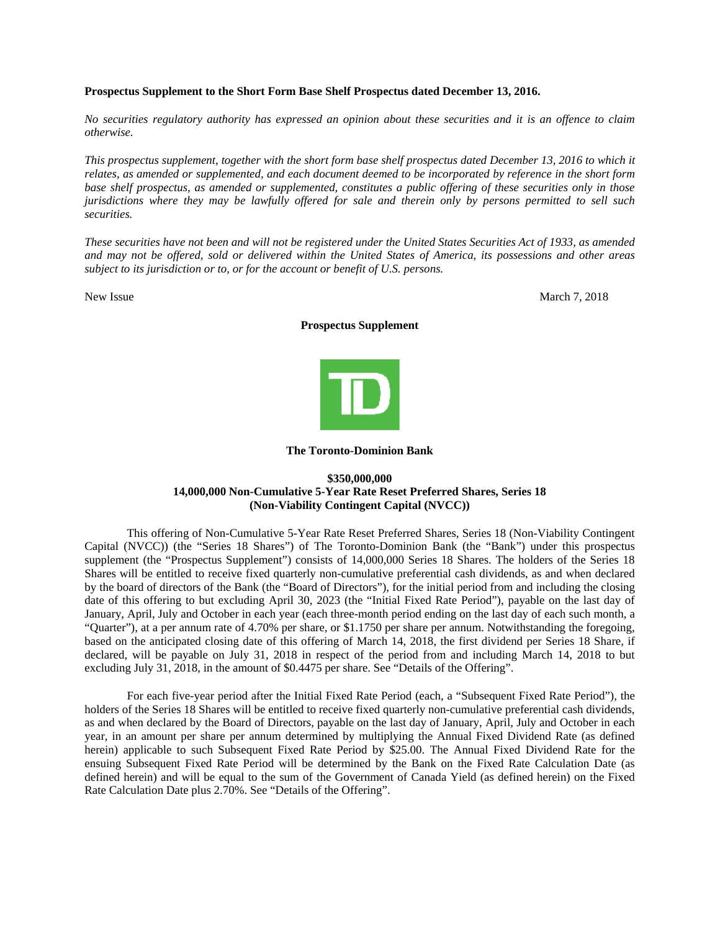## **Prospectus Supplement to the Short Form Base Shelf Prospectus dated December 13, 2016.**

*No securities regulatory authority has expressed an opinion about these securities and it is an offence to claim otherwise.* 

*This prospectus supplement, together with the short form base shelf prospectus dated December 13, 2016 to which it relates, as amended or supplemented, and each document deemed to be incorporated by reference in the short form base shelf prospectus, as amended or supplemented, constitutes a public offering of these securities only in those jurisdictions where they may be lawfully offered for sale and therein only by persons permitted to sell such securities.* 

*These securities have not been and will not be registered under the United States Securities Act of 1933, as amended and may not be offered, sold or delivered within the United States of America, its possessions and other areas subject to its jurisdiction or to, or for the account or benefit of U.S. persons.* 

New Issue March 7, 2018

#### **Prospectus Supplement**



#### **The Toronto-Dominion Bank**

# **\$350,000,000 14,000,000 Non-Cumulative 5-Year Rate Reset Preferred Shares, Series 18 (Non-Viability Contingent Capital (NVCC))**

This offering of Non-Cumulative 5-Year Rate Reset Preferred Shares, Series 18 (Non-Viability Contingent Capital (NVCC)) (the "Series 18 Shares") of The Toronto-Dominion Bank (the "Bank") under this prospectus supplement (the "Prospectus Supplement") consists of 14,000,000 Series 18 Shares. The holders of the Series 18 Shares will be entitled to receive fixed quarterly non-cumulative preferential cash dividends, as and when declared by the board of directors of the Bank (the "Board of Directors"), for the initial period from and including the closing date of this offering to but excluding April 30, 2023 (the "Initial Fixed Rate Period"), payable on the last day of January, April, July and October in each year (each three-month period ending on the last day of each such month, a "Quarter"), at a per annum rate of 4.70% per share, or \$1.1750 per share per annum. Notwithstanding the foregoing, based on the anticipated closing date of this offering of March 14, 2018, the first dividend per Series 18 Share, if declared, will be payable on July 31, 2018 in respect of the period from and including March 14, 2018 to but excluding July 31, 2018, in the amount of \$0.4475 per share. See "Details of the Offering".

For each five-year period after the Initial Fixed Rate Period (each, a "Subsequent Fixed Rate Period"), the holders of the Series 18 Shares will be entitled to receive fixed quarterly non-cumulative preferential cash dividends, as and when declared by the Board of Directors, payable on the last day of January, April, July and October in each year, in an amount per share per annum determined by multiplying the Annual Fixed Dividend Rate (as defined herein) applicable to such Subsequent Fixed Rate Period by \$25.00. The Annual Fixed Dividend Rate for the ensuing Subsequent Fixed Rate Period will be determined by the Bank on the Fixed Rate Calculation Date (as defined herein) and will be equal to the sum of the Government of Canada Yield (as defined herein) on the Fixed Rate Calculation Date plus 2.70%. See "Details of the Offering".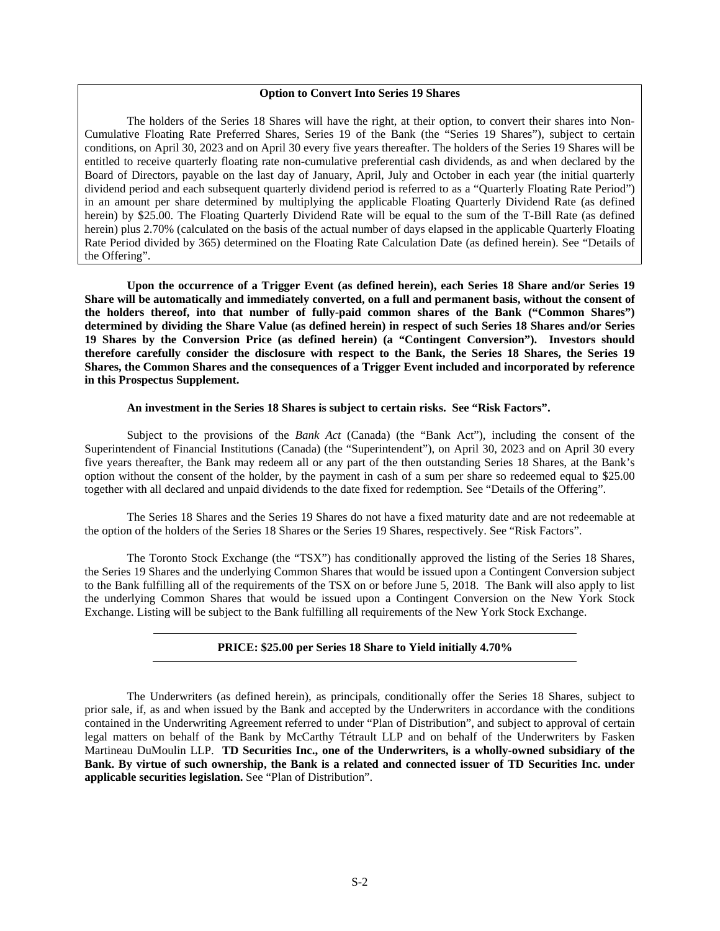## **Option to Convert Into Series 19 Shares**

The holders of the Series 18 Shares will have the right, at their option, to convert their shares into Non-Cumulative Floating Rate Preferred Shares, Series 19 of the Bank (the "Series 19 Shares"), subject to certain conditions, on April 30, 2023 and on April 30 every five years thereafter. The holders of the Series 19 Shares will be entitled to receive quarterly floating rate non-cumulative preferential cash dividends, as and when declared by the Board of Directors, payable on the last day of January, April, July and October in each year (the initial quarterly dividend period and each subsequent quarterly dividend period is referred to as a "Quarterly Floating Rate Period") in an amount per share determined by multiplying the applicable Floating Quarterly Dividend Rate (as defined herein) by \$25.00. The Floating Quarterly Dividend Rate will be equal to the sum of the T-Bill Rate (as defined herein) plus 2.70% (calculated on the basis of the actual number of days elapsed in the applicable Quarterly Floating Rate Period divided by 365) determined on the Floating Rate Calculation Date (as defined herein). See "Details of the Offering".

**Upon the occurrence of a Trigger Event (as defined herein), each Series 18 Share and/or Series 19 Share will be automatically and immediately converted, on a full and permanent basis, without the consent of the holders thereof, into that number of fully-paid common shares of the Bank ("Common Shares") determined by dividing the Share Value (as defined herein) in respect of such Series 18 Shares and/or Series 19 Shares by the Conversion Price (as defined herein) (a "Contingent Conversion"). Investors should therefore carefully consider the disclosure with respect to the Bank, the Series 18 Shares, the Series 19 Shares, the Common Shares and the consequences of a Trigger Event included and incorporated by reference in this Prospectus Supplement.** 

## **An investment in the Series 18 Shares is subject to certain risks. See "Risk Factors".**

Subject to the provisions of the *Bank Act* (Canada) (the "Bank Act"), including the consent of the Superintendent of Financial Institutions (Canada) (the "Superintendent"), on April 30, 2023 and on April 30 every five years thereafter, the Bank may redeem all or any part of the then outstanding Series 18 Shares, at the Bank's option without the consent of the holder, by the payment in cash of a sum per share so redeemed equal to \$25.00 together with all declared and unpaid dividends to the date fixed for redemption. See "Details of the Offering".

The Series 18 Shares and the Series 19 Shares do not have a fixed maturity date and are not redeemable at the option of the holders of the Series 18 Shares or the Series 19 Shares, respectively. See "Risk Factors".

The Toronto Stock Exchange (the "TSX") has conditionally approved the listing of the Series 18 Shares, the Series 19 Shares and the underlying Common Shares that would be issued upon a Contingent Conversion subject to the Bank fulfilling all of the requirements of the TSX on or before June 5, 2018. The Bank will also apply to list the underlying Common Shares that would be issued upon a Contingent Conversion on the New York Stock Exchange. Listing will be subject to the Bank fulfilling all requirements of the New York Stock Exchange.

# **PRICE: \$25.00 per Series 18 Share to Yield initially 4.70%**

The Underwriters (as defined herein), as principals, conditionally offer the Series 18 Shares, subject to prior sale, if, as and when issued by the Bank and accepted by the Underwriters in accordance with the conditions contained in the Underwriting Agreement referred to under "Plan of Distribution", and subject to approval of certain legal matters on behalf of the Bank by McCarthy Tétrault LLP and on behalf of the Underwriters by Fasken Martineau DuMoulin LLP. **TD Securities Inc., one of the Underwriters, is a wholly-owned subsidiary of the Bank. By virtue of such ownership, the Bank is a related and connected issuer of TD Securities Inc. under applicable securities legislation.** See "Plan of Distribution".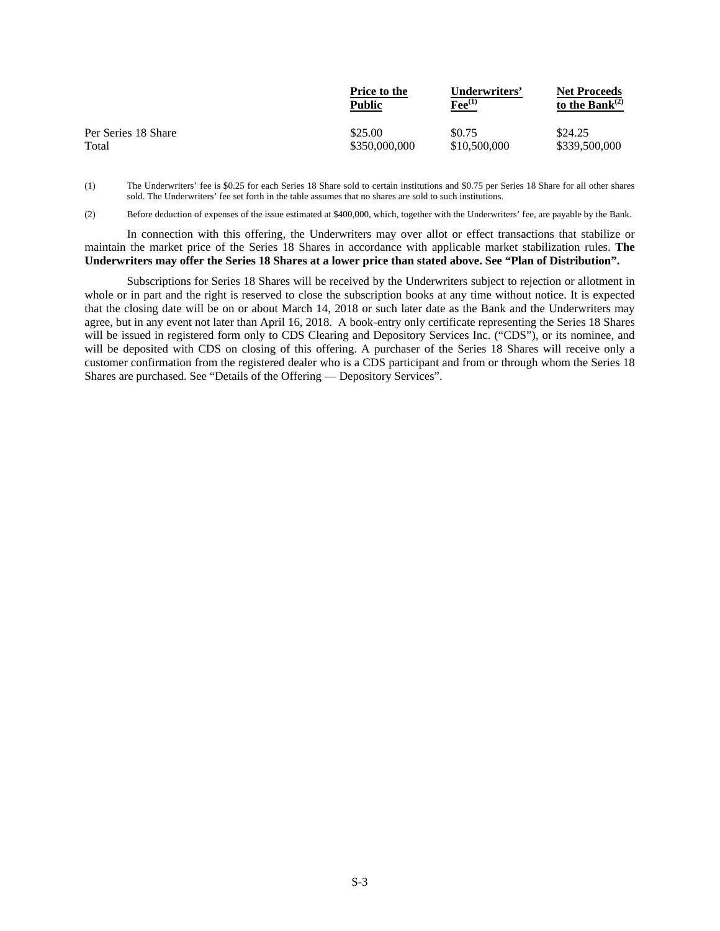|                     | <b>Price to the</b> | Underwriters'            | <b>Net Proceeds</b>  |
|---------------------|---------------------|--------------------------|----------------------|
|                     | Public              | $\mathbf{F}$ ee $^{(1)}$ | to the Bank $^{(2)}$ |
| Per Series 18 Share | \$25.00             | \$0.75                   | \$24.25              |
| Total               | \$350,000,000       | \$10,500,000             | \$339,500,000        |

(1) The Underwriters' fee is \$0.25 for each Series 18 Share sold to certain institutions and \$0.75 per Series 18 Share for all other shares sold. The Underwriters' fee set forth in the table assumes that no shares are sold to such institutions.

(2) Before deduction of expenses of the issue estimated at \$400,000, which, together with the Underwriters' fee, are payable by the Bank.

In connection with this offering, the Underwriters may over allot or effect transactions that stabilize or maintain the market price of the Series 18 Shares in accordance with applicable market stabilization rules. **The Underwriters may offer the Series 18 Shares at a lower price than stated above. See "Plan of Distribution".** 

Subscriptions for Series 18 Shares will be received by the Underwriters subject to rejection or allotment in whole or in part and the right is reserved to close the subscription books at any time without notice. It is expected that the closing date will be on or about March 14, 2018 or such later date as the Bank and the Underwriters may agree, but in any event not later than April 16, 2018. A book-entry only certificate representing the Series 18 Shares will be issued in registered form only to CDS Clearing and Depository Services Inc. ("CDS"), or its nominee, and will be deposited with CDS on closing of this offering. A purchaser of the Series 18 Shares will receive only a customer confirmation from the registered dealer who is a CDS participant and from or through whom the Series 18 Shares are purchased. See "Details of the Offering — Depository Services".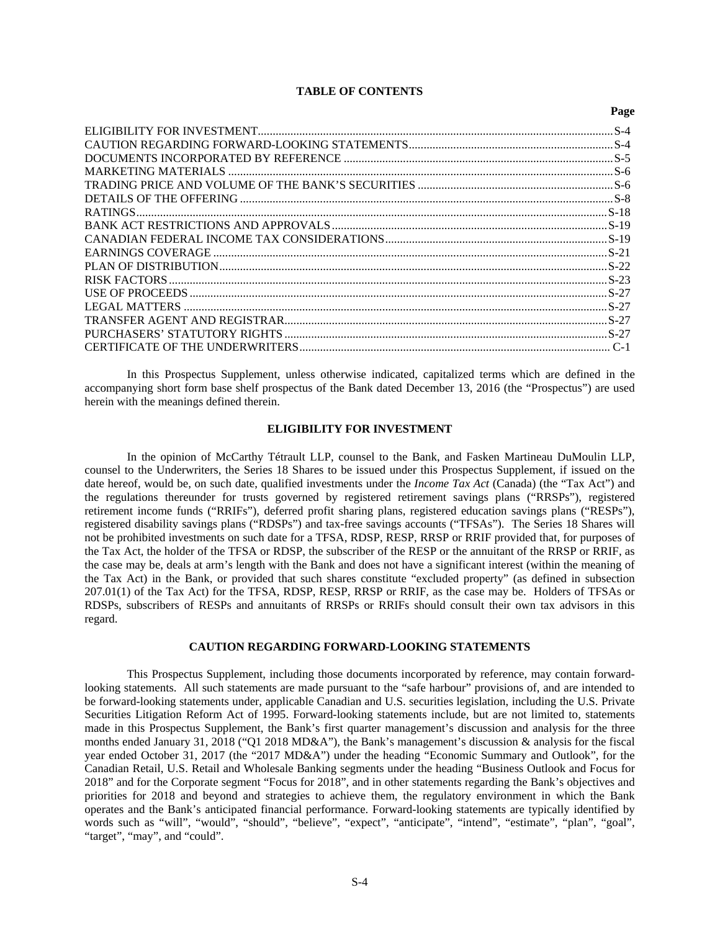# **TABLE OF CONTENTS**

**Page** 

In this Prospectus Supplement, unless otherwise indicated, capitalized terms which are defined in the accompanying short form base shelf prospectus of the Bank dated December 13, 2016 (the "Prospectus") are used herein with the meanings defined therein.

#### **ELIGIBILITY FOR INVESTMENT**

In the opinion of McCarthy Tétrault LLP, counsel to the Bank, and Fasken Martineau DuMoulin LLP, counsel to the Underwriters, the Series 18 Shares to be issued under this Prospectus Supplement, if issued on the date hereof, would be, on such date, qualified investments under the *Income Tax Act* (Canada) (the "Tax Act") and the regulations thereunder for trusts governed by registered retirement savings plans ("RRSPs"), registered retirement income funds ("RRIFs"), deferred profit sharing plans, registered education savings plans ("RESPs"), registered disability savings plans ("RDSPs") and tax-free savings accounts ("TFSAs"). The Series 18 Shares will not be prohibited investments on such date for a TFSA, RDSP, RESP, RRSP or RRIF provided that, for purposes of the Tax Act, the holder of the TFSA or RDSP, the subscriber of the RESP or the annuitant of the RRSP or RRIF, as the case may be, deals at arm's length with the Bank and does not have a significant interest (within the meaning of the Tax Act) in the Bank, or provided that such shares constitute "excluded property" (as defined in subsection 207.01(1) of the Tax Act) for the TFSA, RDSP, RESP, RRSP or RRIF, as the case may be. Holders of TFSAs or RDSPs, subscribers of RESPs and annuitants of RRSPs or RRIFs should consult their own tax advisors in this regard.

# **CAUTION REGARDING FORWARD-LOOKING STATEMENTS**

This Prospectus Supplement, including those documents incorporated by reference, may contain forwardlooking statements. All such statements are made pursuant to the "safe harbour" provisions of, and are intended to be forward-looking statements under, applicable Canadian and U.S. securities legislation, including the U.S. Private Securities Litigation Reform Act of 1995. Forward-looking statements include, but are not limited to, statements made in this Prospectus Supplement, the Bank's first quarter management's discussion and analysis for the three months ended January 31, 2018 ("Q1 2018 MD&A"), the Bank's management's discussion & analysis for the fiscal year ended October 31, 2017 (the "2017 MD&A") under the heading "Economic Summary and Outlook", for the Canadian Retail, U.S. Retail and Wholesale Banking segments under the heading "Business Outlook and Focus for 2018" and for the Corporate segment "Focus for 2018", and in other statements regarding the Bank's objectives and priorities for 2018 and beyond and strategies to achieve them, the regulatory environment in which the Bank operates and the Bank's anticipated financial performance. Forward-looking statements are typically identified by words such as "will", "would", "should", "believe", "expect", "anticipate", "intend", "estimate", "plan", "goal", "target", "may", and "could".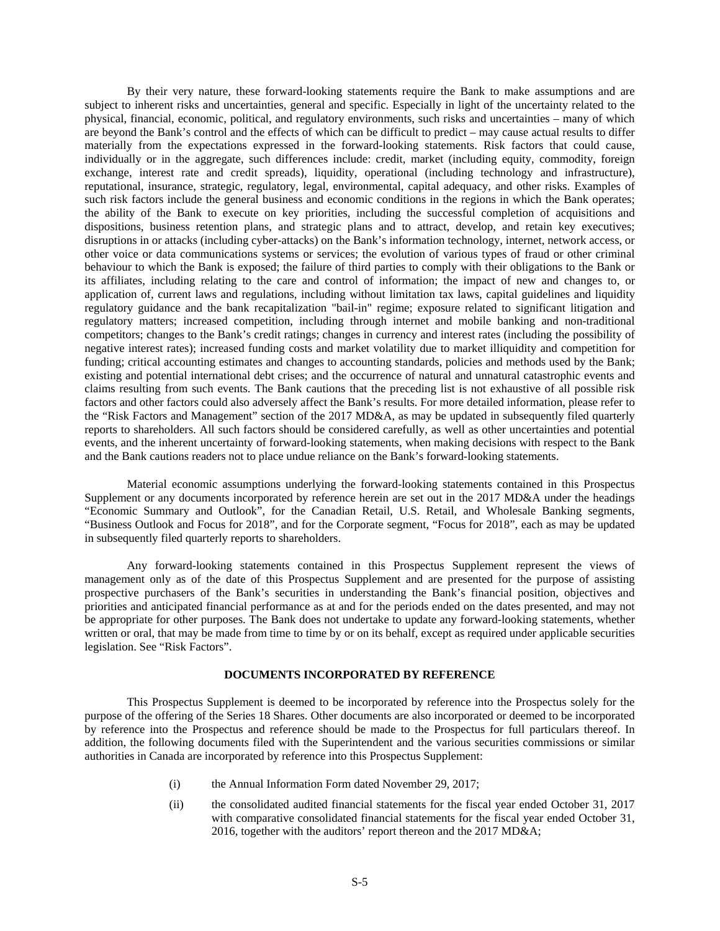By their very nature, these forward-looking statements require the Bank to make assumptions and are subject to inherent risks and uncertainties, general and specific. Especially in light of the uncertainty related to the physical, financial, economic, political, and regulatory environments, such risks and uncertainties – many of which are beyond the Bank's control and the effects of which can be difficult to predict – may cause actual results to differ materially from the expectations expressed in the forward-looking statements. Risk factors that could cause, individually or in the aggregate, such differences include: credit, market (including equity, commodity, foreign exchange, interest rate and credit spreads), liquidity, operational (including technology and infrastructure), reputational, insurance, strategic, regulatory, legal, environmental, capital adequacy, and other risks. Examples of such risk factors include the general business and economic conditions in the regions in which the Bank operates; the ability of the Bank to execute on key priorities, including the successful completion of acquisitions and dispositions, business retention plans, and strategic plans and to attract, develop, and retain key executives; disruptions in or attacks (including cyber-attacks) on the Bank's information technology, internet, network access, or other voice or data communications systems or services; the evolution of various types of fraud or other criminal behaviour to which the Bank is exposed; the failure of third parties to comply with their obligations to the Bank or its affiliates, including relating to the care and control of information; the impact of new and changes to, or application of, current laws and regulations, including without limitation tax laws, capital guidelines and liquidity regulatory guidance and the bank recapitalization "bail-in" regime; exposure related to significant litigation and regulatory matters; increased competition, including through internet and mobile banking and non-traditional competitors; changes to the Bank's credit ratings; changes in currency and interest rates (including the possibility of negative interest rates); increased funding costs and market volatility due to market illiquidity and competition for funding; critical accounting estimates and changes to accounting standards, policies and methods used by the Bank; existing and potential international debt crises; and the occurrence of natural and unnatural catastrophic events and claims resulting from such events. The Bank cautions that the preceding list is not exhaustive of all possible risk factors and other factors could also adversely affect the Bank's results. For more detailed information, please refer to the "Risk Factors and Management" section of the 2017 MD&A, as may be updated in subsequently filed quarterly reports to shareholders. All such factors should be considered carefully, as well as other uncertainties and potential events, and the inherent uncertainty of forward-looking statements, when making decisions with respect to the Bank and the Bank cautions readers not to place undue reliance on the Bank's forward-looking statements.

Material economic assumptions underlying the forward-looking statements contained in this Prospectus Supplement or any documents incorporated by reference herein are set out in the 2017 MD&A under the headings "Economic Summary and Outlook", for the Canadian Retail, U.S. Retail, and Wholesale Banking segments, "Business Outlook and Focus for 2018", and for the Corporate segment, "Focus for 2018", each as may be updated in subsequently filed quarterly reports to shareholders.

Any forward-looking statements contained in this Prospectus Supplement represent the views of management only as of the date of this Prospectus Supplement and are presented for the purpose of assisting prospective purchasers of the Bank's securities in understanding the Bank's financial position, objectives and priorities and anticipated financial performance as at and for the periods ended on the dates presented, and may not be appropriate for other purposes. The Bank does not undertake to update any forward-looking statements, whether written or oral, that may be made from time to time by or on its behalf, except as required under applicable securities legislation. See "Risk Factors".

## **DOCUMENTS INCORPORATED BY REFERENCE**

This Prospectus Supplement is deemed to be incorporated by reference into the Prospectus solely for the purpose of the offering of the Series 18 Shares. Other documents are also incorporated or deemed to be incorporated by reference into the Prospectus and reference should be made to the Prospectus for full particulars thereof. In addition, the following documents filed with the Superintendent and the various securities commissions or similar authorities in Canada are incorporated by reference into this Prospectus Supplement:

- (i) the Annual Information Form dated November 29, 2017;
- (ii) the consolidated audited financial statements for the fiscal year ended October 31, 2017 with comparative consolidated financial statements for the fiscal year ended October 31, 2016, together with the auditors' report thereon and the 2017 MD&A;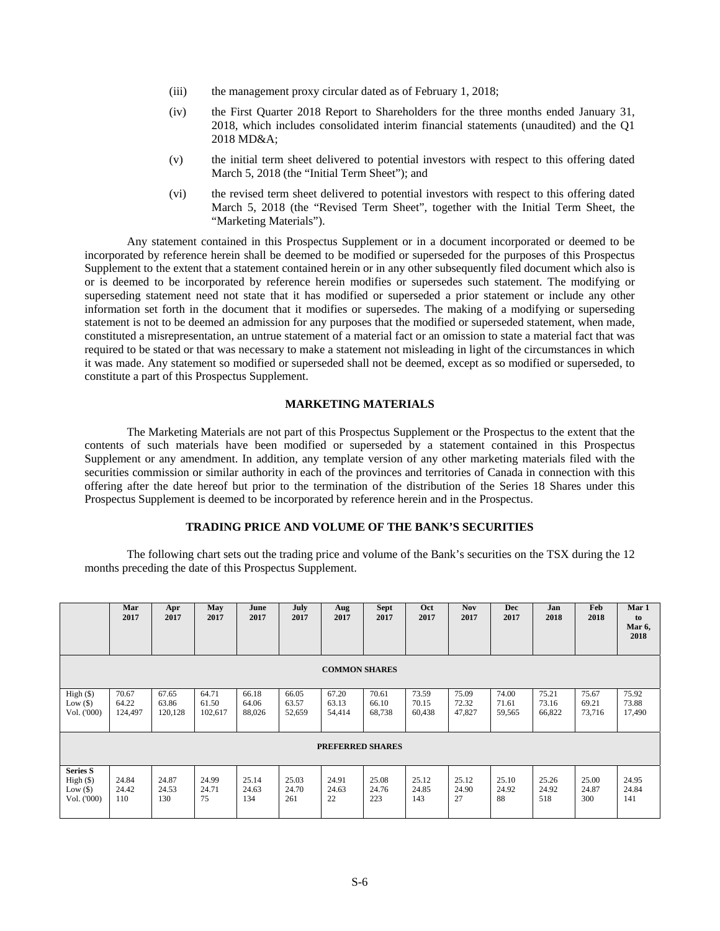- (iii) the management proxy circular dated as of February 1, 2018;
- (iv) the First Quarter 2018 Report to Shareholders for the three months ended January 31, 2018, which includes consolidated interim financial statements (unaudited) and the Q1 2018 MD&A;
- (v) the initial term sheet delivered to potential investors with respect to this offering dated March 5, 2018 (the "Initial Term Sheet"); and
- (vi) the revised term sheet delivered to potential investors with respect to this offering dated March 5, 2018 (the "Revised Term Sheet", together with the Initial Term Sheet, the "Marketing Materials").

Any statement contained in this Prospectus Supplement or in a document incorporated or deemed to be incorporated by reference herein shall be deemed to be modified or superseded for the purposes of this Prospectus Supplement to the extent that a statement contained herein or in any other subsequently filed document which also is or is deemed to be incorporated by reference herein modifies or supersedes such statement. The modifying or superseding statement need not state that it has modified or superseded a prior statement or include any other information set forth in the document that it modifies or supersedes. The making of a modifying or superseding statement is not to be deemed an admission for any purposes that the modified or superseded statement, when made, constituted a misrepresentation, an untrue statement of a material fact or an omission to state a material fact that was required to be stated or that was necessary to make a statement not misleading in light of the circumstances in which it was made. Any statement so modified or superseded shall not be deemed, except as so modified or superseded, to constitute a part of this Prospectus Supplement.

# **MARKETING MATERIALS**

The Marketing Materials are not part of this Prospectus Supplement or the Prospectus to the extent that the contents of such materials have been modified or superseded by a statement contained in this Prospectus Supplement or any amendment. In addition, any template version of any other marketing materials filed with the securities commission or similar authority in each of the provinces and territories of Canada in connection with this offering after the date hereof but prior to the termination of the distribution of the Series 18 Shares under this Prospectus Supplement is deemed to be incorporated by reference herein and in the Prospectus.

# **TRADING PRICE AND VOLUME OF THE BANK'S SECURITIES**

The following chart sets out the trading price and volume of the Bank's securities on the TSX during the 12 months preceding the date of this Prospectus Supplement.

|                                                           | Mar<br>2017               | Apr<br>2017               | May<br>2017               | June<br>2017             | July<br>2017             | Aug<br>2017              | <b>Sept</b><br>2017      | Oct<br>2017              | <b>Nov</b><br>2017       | <b>Dec</b><br>2017       | Jan<br>2018              | Feb<br>2018              | Mar 1<br>to<br>Mar 6,<br>2018 |
|-----------------------------------------------------------|---------------------------|---------------------------|---------------------------|--------------------------|--------------------------|--------------------------|--------------------------|--------------------------|--------------------------|--------------------------|--------------------------|--------------------------|-------------------------------|
| <b>COMMON SHARES</b>                                      |                           |                           |                           |                          |                          |                          |                          |                          |                          |                          |                          |                          |                               |
| High (\$)<br>Low $(\$)$<br>Vol. ('000)                    | 70.67<br>64.22<br>124,497 | 67.65<br>63.86<br>120,128 | 64.71<br>61.50<br>102,617 | 66.18<br>64.06<br>88,026 | 66.05<br>63.57<br>52,659 | 67.20<br>63.13<br>54,414 | 70.61<br>66.10<br>68,738 | 73.59<br>70.15<br>60,438 | 75.09<br>72.32<br>47,827 | 74.00<br>71.61<br>59,565 | 75.21<br>73.16<br>66,822 | 75.67<br>69.21<br>73,716 | 75.92<br>73.88<br>17,490      |
| <b>PREFERRED SHARES</b>                                   |                           |                           |                           |                          |                          |                          |                          |                          |                          |                          |                          |                          |                               |
| <b>Series S</b><br>High (\$)<br>Low $(\$)$<br>Vol. ('000) | 24.84<br>24.42<br>110     | 24.87<br>24.53<br>130     | 24.99<br>24.71<br>75      | 25.14<br>24.63<br>134    | 25.03<br>24.70<br>261    | 24.91<br>24.63<br>22     | 25.08<br>24.76<br>223    | 25.12<br>24.85<br>143    | 25.12<br>24.90<br>27     | 25.10<br>24.92<br>88     | 25.26<br>24.92<br>518    | 25.00<br>24.87<br>300    | 24.95<br>24.84<br>141         |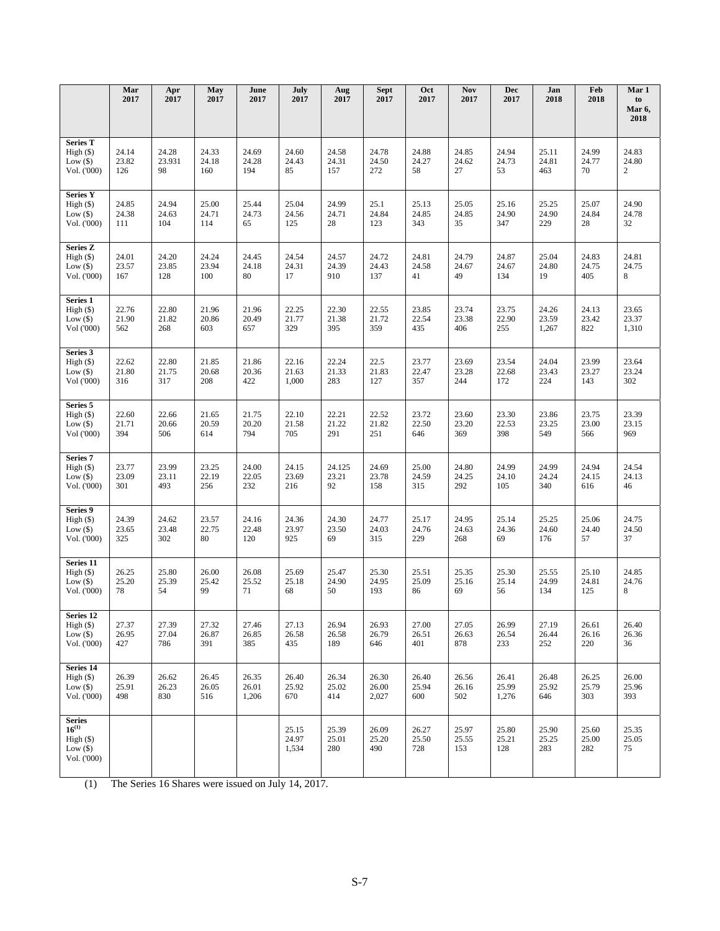|                                                                     | Mar<br>2017           | Apr<br>2017           | <b>May</b><br>2017    | June<br>2017            | July<br>2017            | Aug<br>2017           | <b>Sept</b><br>2017     | Oct<br>2017           | <b>Nov</b><br>2017    | <b>Dec</b><br>2017      | Jan<br>2018             | Feb<br>2018           | Mar 1<br>to<br>Mar 6,            |
|---------------------------------------------------------------------|-----------------------|-----------------------|-----------------------|-------------------------|-------------------------|-----------------------|-------------------------|-----------------------|-----------------------|-------------------------|-------------------------|-----------------------|----------------------------------|
|                                                                     |                       |                       |                       |                         |                         |                       |                         |                       |                       |                         |                         |                       | 2018                             |
| <b>Series T</b><br>High (\$)<br>Low $($ )<br>Vol. ('000)            | 24.14<br>23.82<br>126 | 24.28<br>23.931<br>98 | 24.33<br>24.18<br>160 | 24.69<br>24.28<br>194   | 24.60<br>24.43<br>85    | 24.58<br>24.31<br>157 | 24.78<br>24.50<br>272   | 24.88<br>24.27<br>58  | 24.85<br>24.62<br>27  | 24.94<br>24.73<br>53    | 25.11<br>24.81<br>463   | 24.99<br>24.77<br>70  | 24.83<br>24.80<br>$\overline{c}$ |
| <b>Series Y</b><br>High (\$)<br>Low $($ )<br>Vol. ('000)            | 24.85<br>24.38<br>111 | 24.94<br>24.63<br>104 | 25.00<br>24.71<br>114 | 25.44<br>24.73<br>65    | 25.04<br>24.56<br>125   | 24.99<br>24.71<br>28  | 25.1<br>24.84<br>123    | 25.13<br>24.85<br>343 | 25.05<br>24.85<br>35  | 25.16<br>24.90<br>347   | 25.25<br>24.90<br>229   | 25.07<br>24.84<br>28  | 24.90<br>24.78<br>32             |
| <b>Series Z</b><br>High (\$)<br>Low $(\$)$<br>Vol. ('000)           | 24.01<br>23.57<br>167 | 24.20<br>23.85<br>128 | 24.24<br>23.94<br>100 | 24.45<br>24.18<br>80    | 24.54<br>24.31<br>17    | 24.57<br>24.39<br>910 | 24.72<br>24.43<br>137   | 24.81<br>24.58<br>41  | 24.79<br>24.67<br>49  | 24.87<br>24.67<br>134   | 25.04<br>24.80<br>19    | 24.83<br>24.75<br>405 | 24.81<br>24.75<br>8              |
| Series 1<br>High (\$)<br>Low $(\$)$<br>Vol ('000)                   | 22.76<br>21.90<br>562 | 22.80<br>21.82<br>268 | 21.96<br>20.86<br>603 | 21.96<br>20.49<br>657   | 22.25<br>21.77<br>329   | 22.30<br>21.38<br>395 | 22.55<br>21.72<br>359   | 23.85<br>22.54<br>435 | 23.74<br>23.38<br>406 | 23.75<br>22.90<br>255   | 24.26<br>23.59<br>1,267 | 24.13<br>23.42<br>822 | 23.65<br>23.37<br>1,310          |
| Series 3<br>High (\$)<br>Low $(\$)$<br>Vol ('000)                   | 22.62<br>21.80<br>316 | 22.80<br>21.75<br>317 | 21.85<br>20.68<br>208 | 21.86<br>20.36<br>422   | 22.16<br>21.63<br>1,000 | 22.24<br>21.33<br>283 | 22.5<br>21.83<br>127    | 23.77<br>22.47<br>357 | 23.69<br>23.28<br>244 | 23.54<br>22.68<br>172   | 24.04<br>23.43<br>224   | 23.99<br>23.27<br>143 | 23.64<br>23.24<br>302            |
| Series 5<br>High (\$)<br>Low $(\$)$<br>Vol ('000)                   | 22.60<br>21.71<br>394 | 22.66<br>20.66<br>506 | 21.65<br>20.59<br>614 | 21.75<br>20.20<br>794   | 22.10<br>21.58<br>705   | 22.21<br>21.22<br>291 | 22.52<br>21.82<br>251   | 23.72<br>22.50<br>646 | 23.60<br>23.20<br>369 | 23.30<br>22.53<br>398   | 23.86<br>23.25<br>549   | 23.75<br>23.00<br>566 | 23.39<br>23.15<br>969            |
| Series <sub>7</sub><br>High (\$)<br>Low $(\$)$<br>Vol. ('000)       | 23.77<br>23.09<br>301 | 23.99<br>23.11<br>493 | 23.25<br>22.19<br>256 | 24.00<br>22.05<br>232   | 24.15<br>23.69<br>216   | 24.125<br>23.21<br>92 | 24.69<br>23.78<br>158   | 25.00<br>24.59<br>315 | 24.80<br>24.25<br>292 | 24.99<br>24.10<br>105   | 24.99<br>24.24<br>340   | 24.94<br>24.15<br>616 | 24.54<br>24.13<br>46             |
| Series 9<br>High (\$)<br>Low $(\$)$<br>Vol. ('000)                  | 24.39<br>23.65<br>325 | 24.62<br>23.48<br>302 | 23.57<br>22.75<br>80  | 24.16<br>22.48<br>120   | 24.36<br>23.97<br>925   | 24.30<br>23.50<br>69  | 24.77<br>24.03<br>315   | 25.17<br>24.76<br>229 | 24.95<br>24.63<br>268 | 25.14<br>24.36<br>69    | 25.25<br>24.60<br>176   | 25.06<br>24.40<br>57  | 24.75<br>24.50<br>37             |
| Series 11<br>High (\$)<br>Low $(\$)$<br>Vol. ('000)                 | 26.25<br>25.20<br>78  | 25.80<br>25.39<br>54  | 26.00<br>25.42<br>99  | 26.08<br>25.52<br>71    | 25.69<br>25.18<br>68    | 25.47<br>24.90<br>50  | 25.30<br>24.95<br>193   | 25.51<br>25.09<br>86  | 25.35<br>25.16<br>69  | 25.30<br>25.14<br>56    | 25.55<br>24.99<br>134   | 25.10<br>24.81<br>125 | 24.85<br>24.76<br>8              |
| Series 12<br>High()<br>Low $(\$)$<br>Vol. ('000)                    | 27.37<br>26.95<br>427 | 27.39<br>27.04<br>786 | 27.32<br>26.87<br>391 | 27.46<br>26.85<br>385   | 27.13<br>26.58<br>435   | 26.94<br>26.58<br>189 | 26.93<br>26.79<br>646   | 27.00<br>26.51<br>401 | 27.05<br>26.63<br>878 | 26.99<br>26.54<br>233   | 27.19<br>26.44<br>252   | 26.61<br>26.16<br>220 | 26.40<br>26.36<br>36             |
| Series 14<br>High (\$)<br>Low $(\$)$<br>Vol. ('000)                 | 26.39<br>25.91<br>498 | 26.62<br>26.23<br>830 | 26.45<br>26.05<br>516 | 26.35<br>26.01<br>1,206 | 26.40<br>25.92<br>670   | 26.34<br>25.02<br>414 | 26.30<br>26.00<br>2,027 | 26.40<br>25.94<br>600 | 26.56<br>26.16<br>502 | 26.41<br>25.99<br>1,276 | 26.48<br>25.92<br>646   | 26.25<br>25.79<br>303 | 26.00<br>25.96<br>393            |
| <b>Series</b><br>$16^{(1)}$<br>High(\$)<br>Low $($ )<br>Vol. ('000) |                       |                       |                       |                         | 25.15<br>24.97<br>1,534 | 25.39<br>25.01<br>280 | 26.09<br>25.20<br>490   | 26.27<br>25.50<br>728 | 25.97<br>25.55<br>153 | 25.80<br>25.21<br>128   | 25.90<br>25.25<br>283   | 25.60<br>25.00<br>282 | 25.35<br>25.05<br>75             |

(1) The Series 16 Shares were issued on July 14, 2017.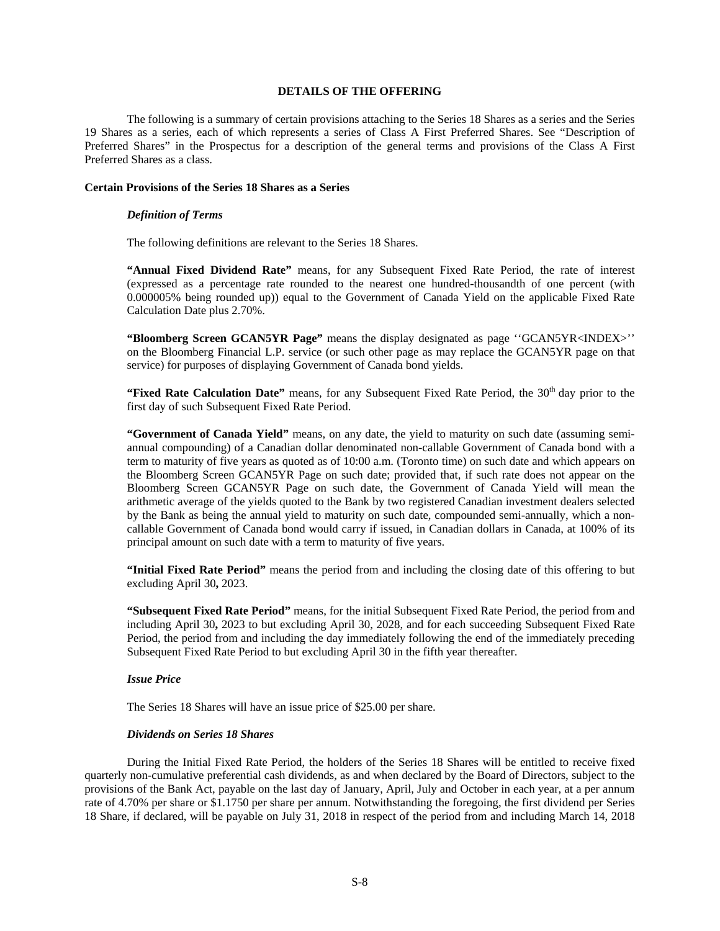# **DETAILS OF THE OFFERING**

The following is a summary of certain provisions attaching to the Series 18 Shares as a series and the Series 19 Shares as a series, each of which represents a series of Class A First Preferred Shares. See "Description of Preferred Shares" in the Prospectus for a description of the general terms and provisions of the Class A First Preferred Shares as a class.

#### **Certain Provisions of the Series 18 Shares as a Series**

#### *Definition of Terms*

The following definitions are relevant to the Series 18 Shares.

**"Annual Fixed Dividend Rate"** means, for any Subsequent Fixed Rate Period, the rate of interest (expressed as a percentage rate rounded to the nearest one hundred-thousandth of one percent (with 0.000005% being rounded up)) equal to the Government of Canada Yield on the applicable Fixed Rate Calculation Date plus 2.70%.

**"Bloomberg Screen GCAN5YR Page"** means the display designated as page ''GCAN5YR<INDEX>'' on the Bloomberg Financial L.P. service (or such other page as may replace the GCAN5YR page on that service) for purposes of displaying Government of Canada bond yields.

"Fixed Rate Calculation Date" means, for any Subsequent Fixed Rate Period, the 30<sup>th</sup> day prior to the first day of such Subsequent Fixed Rate Period.

**"Government of Canada Yield"** means, on any date, the yield to maturity on such date (assuming semiannual compounding) of a Canadian dollar denominated non-callable Government of Canada bond with a term to maturity of five years as quoted as of 10:00 a.m. (Toronto time) on such date and which appears on the Bloomberg Screen GCAN5YR Page on such date; provided that, if such rate does not appear on the Bloomberg Screen GCAN5YR Page on such date, the Government of Canada Yield will mean the arithmetic average of the yields quoted to the Bank by two registered Canadian investment dealers selected by the Bank as being the annual yield to maturity on such date, compounded semi-annually, which a noncallable Government of Canada bond would carry if issued, in Canadian dollars in Canada, at 100% of its principal amount on such date with a term to maturity of five years.

**"Initial Fixed Rate Period"** means the period from and including the closing date of this offering to but excluding April 30**,** 2023.

**"Subsequent Fixed Rate Period"** means, for the initial Subsequent Fixed Rate Period, the period from and including April 30**,** 2023 to but excluding April 30, 2028, and for each succeeding Subsequent Fixed Rate Period, the period from and including the day immediately following the end of the immediately preceding Subsequent Fixed Rate Period to but excluding April 30 in the fifth year thereafter.

# *Issue Price*

The Series 18 Shares will have an issue price of \$25.00 per share.

## *Dividends on Series 18 Shares*

During the Initial Fixed Rate Period, the holders of the Series 18 Shares will be entitled to receive fixed quarterly non-cumulative preferential cash dividends, as and when declared by the Board of Directors, subject to the provisions of the Bank Act, payable on the last day of January, April, July and October in each year, at a per annum rate of 4.70% per share or \$1.1750 per share per annum. Notwithstanding the foregoing, the first dividend per Series 18 Share, if declared, will be payable on July 31, 2018 in respect of the period from and including March 14, 2018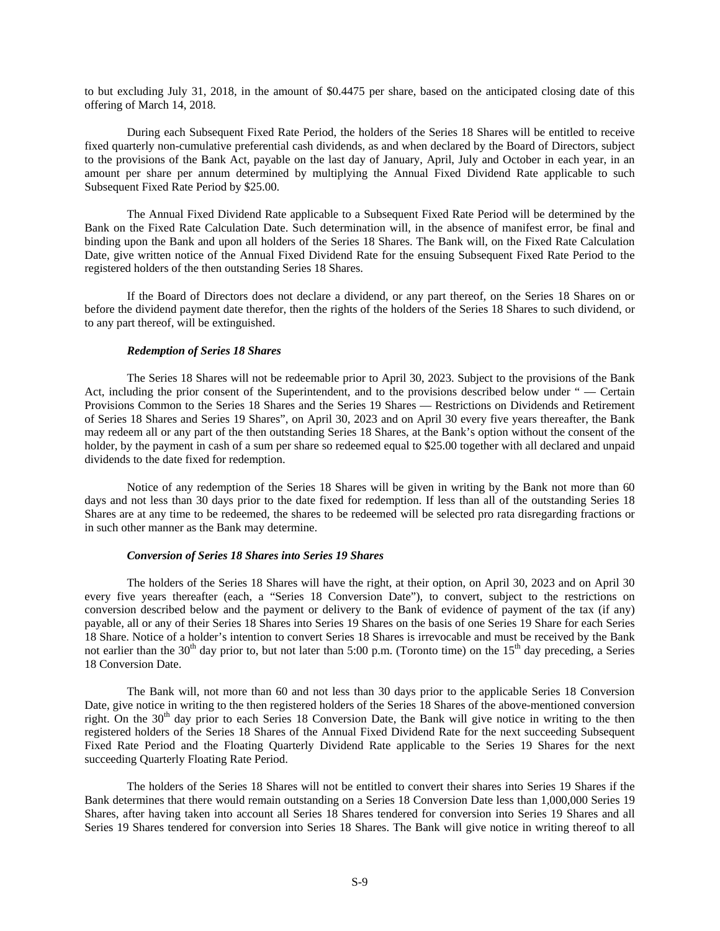to but excluding July 31, 2018, in the amount of \$0.4475 per share, based on the anticipated closing date of this offering of March 14, 2018.

During each Subsequent Fixed Rate Period, the holders of the Series 18 Shares will be entitled to receive fixed quarterly non-cumulative preferential cash dividends, as and when declared by the Board of Directors, subject to the provisions of the Bank Act, payable on the last day of January, April, July and October in each year, in an amount per share per annum determined by multiplying the Annual Fixed Dividend Rate applicable to such Subsequent Fixed Rate Period by \$25.00.

The Annual Fixed Dividend Rate applicable to a Subsequent Fixed Rate Period will be determined by the Bank on the Fixed Rate Calculation Date. Such determination will, in the absence of manifest error, be final and binding upon the Bank and upon all holders of the Series 18 Shares. The Bank will, on the Fixed Rate Calculation Date, give written notice of the Annual Fixed Dividend Rate for the ensuing Subsequent Fixed Rate Period to the registered holders of the then outstanding Series 18 Shares.

If the Board of Directors does not declare a dividend, or any part thereof, on the Series 18 Shares on or before the dividend payment date therefor, then the rights of the holders of the Series 18 Shares to such dividend, or to any part thereof, will be extinguished.

#### *Redemption of Series 18 Shares*

The Series 18 Shares will not be redeemable prior to April 30, 2023. Subject to the provisions of the Bank Act, including the prior consent of the Superintendent, and to the provisions described below under " — Certain Provisions Common to the Series 18 Shares and the Series 19 Shares — Restrictions on Dividends and Retirement of Series 18 Shares and Series 19 Shares", on April 30, 2023 and on April 30 every five years thereafter, the Bank may redeem all or any part of the then outstanding Series 18 Shares, at the Bank's option without the consent of the holder, by the payment in cash of a sum per share so redeemed equal to \$25.00 together with all declared and unpaid dividends to the date fixed for redemption.

Notice of any redemption of the Series 18 Shares will be given in writing by the Bank not more than 60 days and not less than 30 days prior to the date fixed for redemption. If less than all of the outstanding Series 18 Shares are at any time to be redeemed, the shares to be redeemed will be selected pro rata disregarding fractions or in such other manner as the Bank may determine.

#### *Conversion of Series 18 Shares into Series 19 Shares*

The holders of the Series 18 Shares will have the right, at their option, on April 30, 2023 and on April 30 every five years thereafter (each, a "Series 18 Conversion Date"), to convert, subject to the restrictions on conversion described below and the payment or delivery to the Bank of evidence of payment of the tax (if any) payable, all or any of their Series 18 Shares into Series 19 Shares on the basis of one Series 19 Share for each Series 18 Share. Notice of a holder's intention to convert Series 18 Shares is irrevocable and must be received by the Bank not earlier than the  $30<sup>th</sup>$  day prior to, but not later than 5:00 p.m. (Toronto time) on the  $15<sup>th</sup>$  day preceding, a Series 18 Conversion Date.

The Bank will, not more than 60 and not less than 30 days prior to the applicable Series 18 Conversion Date, give notice in writing to the then registered holders of the Series 18 Shares of the above-mentioned conversion right. On the 30<sup>th</sup> day prior to each Series 18 Conversion Date, the Bank will give notice in writing to the then registered holders of the Series 18 Shares of the Annual Fixed Dividend Rate for the next succeeding Subsequent Fixed Rate Period and the Floating Quarterly Dividend Rate applicable to the Series 19 Shares for the next succeeding Quarterly Floating Rate Period.

The holders of the Series 18 Shares will not be entitled to convert their shares into Series 19 Shares if the Bank determines that there would remain outstanding on a Series 18 Conversion Date less than 1,000,000 Series 19 Shares, after having taken into account all Series 18 Shares tendered for conversion into Series 19 Shares and all Series 19 Shares tendered for conversion into Series 18 Shares. The Bank will give notice in writing thereof to all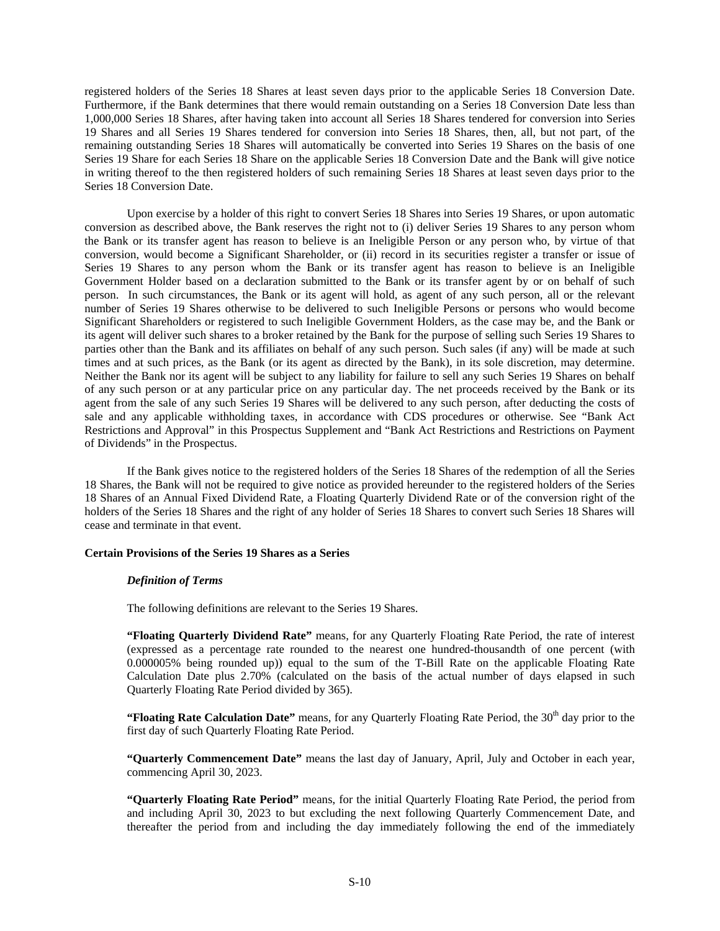registered holders of the Series 18 Shares at least seven days prior to the applicable Series 18 Conversion Date. Furthermore, if the Bank determines that there would remain outstanding on a Series 18 Conversion Date less than 1,000,000 Series 18 Shares, after having taken into account all Series 18 Shares tendered for conversion into Series 19 Shares and all Series 19 Shares tendered for conversion into Series 18 Shares, then, all, but not part, of the remaining outstanding Series 18 Shares will automatically be converted into Series 19 Shares on the basis of one Series 19 Share for each Series 18 Share on the applicable Series 18 Conversion Date and the Bank will give notice in writing thereof to the then registered holders of such remaining Series 18 Shares at least seven days prior to the Series 18 Conversion Date.

Upon exercise by a holder of this right to convert Series 18 Shares into Series 19 Shares, or upon automatic conversion as described above, the Bank reserves the right not to (i) deliver Series 19 Shares to any person whom the Bank or its transfer agent has reason to believe is an Ineligible Person or any person who, by virtue of that conversion, would become a Significant Shareholder, or (ii) record in its securities register a transfer or issue of Series 19 Shares to any person whom the Bank or its transfer agent has reason to believe is an Ineligible Government Holder based on a declaration submitted to the Bank or its transfer agent by or on behalf of such person. In such circumstances, the Bank or its agent will hold, as agent of any such person, all or the relevant number of Series 19 Shares otherwise to be delivered to such Ineligible Persons or persons who would become Significant Shareholders or registered to such Ineligible Government Holders, as the case may be, and the Bank or its agent will deliver such shares to a broker retained by the Bank for the purpose of selling such Series 19 Shares to parties other than the Bank and its affiliates on behalf of any such person. Such sales (if any) will be made at such times and at such prices, as the Bank (or its agent as directed by the Bank), in its sole discretion, may determine. Neither the Bank nor its agent will be subject to any liability for failure to sell any such Series 19 Shares on behalf of any such person or at any particular price on any particular day. The net proceeds received by the Bank or its agent from the sale of any such Series 19 Shares will be delivered to any such person, after deducting the costs of sale and any applicable withholding taxes, in accordance with CDS procedures or otherwise. See "Bank Act Restrictions and Approval" in this Prospectus Supplement and "Bank Act Restrictions and Restrictions on Payment of Dividends" in the Prospectus.

If the Bank gives notice to the registered holders of the Series 18 Shares of the redemption of all the Series 18 Shares, the Bank will not be required to give notice as provided hereunder to the registered holders of the Series 18 Shares of an Annual Fixed Dividend Rate, a Floating Quarterly Dividend Rate or of the conversion right of the holders of the Series 18 Shares and the right of any holder of Series 18 Shares to convert such Series 18 Shares will cease and terminate in that event.

# **Certain Provisions of the Series 19 Shares as a Series**

#### *Definition of Terms*

The following definitions are relevant to the Series 19 Shares.

**"Floating Quarterly Dividend Rate"** means, for any Quarterly Floating Rate Period, the rate of interest (expressed as a percentage rate rounded to the nearest one hundred-thousandth of one percent (with 0.000005% being rounded up)) equal to the sum of the T-Bill Rate on the applicable Floating Rate Calculation Date plus 2.70% (calculated on the basis of the actual number of days elapsed in such Quarterly Floating Rate Period divided by 365).

"Floating Rate Calculation Date" means, for any Quarterly Floating Rate Period, the 30<sup>th</sup> day prior to the first day of such Quarterly Floating Rate Period.

**"Quarterly Commencement Date"** means the last day of January, April, July and October in each year, commencing April 30, 2023.

**"Quarterly Floating Rate Period"** means, for the initial Quarterly Floating Rate Period, the period from and including April 30, 2023 to but excluding the next following Quarterly Commencement Date, and thereafter the period from and including the day immediately following the end of the immediately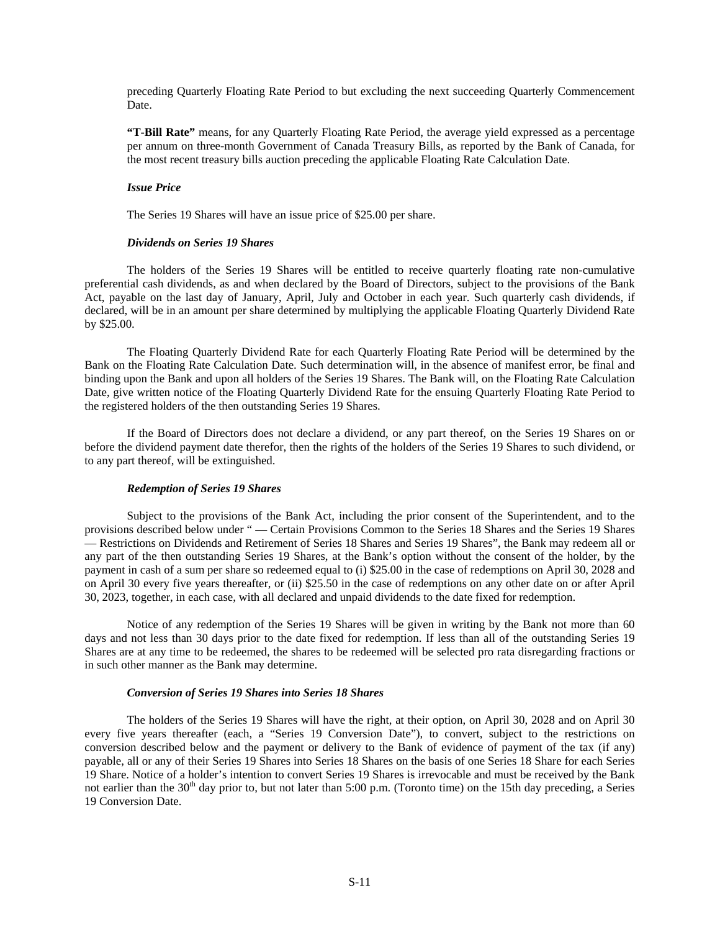preceding Quarterly Floating Rate Period to but excluding the next succeeding Quarterly Commencement Date.

**"T-Bill Rate"** means, for any Quarterly Floating Rate Period, the average yield expressed as a percentage per annum on three-month Government of Canada Treasury Bills, as reported by the Bank of Canada, for the most recent treasury bills auction preceding the applicable Floating Rate Calculation Date.

# *Issue Price*

The Series 19 Shares will have an issue price of \$25.00 per share.

#### *Dividends on Series 19 Shares*

The holders of the Series 19 Shares will be entitled to receive quarterly floating rate non-cumulative preferential cash dividends, as and when declared by the Board of Directors, subject to the provisions of the Bank Act, payable on the last day of January, April, July and October in each year. Such quarterly cash dividends, if declared, will be in an amount per share determined by multiplying the applicable Floating Quarterly Dividend Rate by \$25.00.

The Floating Quarterly Dividend Rate for each Quarterly Floating Rate Period will be determined by the Bank on the Floating Rate Calculation Date. Such determination will, in the absence of manifest error, be final and binding upon the Bank and upon all holders of the Series 19 Shares. The Bank will, on the Floating Rate Calculation Date, give written notice of the Floating Quarterly Dividend Rate for the ensuing Quarterly Floating Rate Period to the registered holders of the then outstanding Series 19 Shares.

If the Board of Directors does not declare a dividend, or any part thereof, on the Series 19 Shares on or before the dividend payment date therefor, then the rights of the holders of the Series 19 Shares to such dividend, or to any part thereof, will be extinguished.

## *Redemption of Series 19 Shares*

Subject to the provisions of the Bank Act, including the prior consent of the Superintendent, and to the provisions described below under " — Certain Provisions Common to the Series 18 Shares and the Series 19 Shares — Restrictions on Dividends and Retirement of Series 18 Shares and Series 19 Shares", the Bank may redeem all or any part of the then outstanding Series 19 Shares, at the Bank's option without the consent of the holder, by the payment in cash of a sum per share so redeemed equal to (i) \$25.00 in the case of redemptions on April 30, 2028 and on April 30 every five years thereafter, or (ii) \$25.50 in the case of redemptions on any other date on or after April 30, 2023, together, in each case, with all declared and unpaid dividends to the date fixed for redemption.

Notice of any redemption of the Series 19 Shares will be given in writing by the Bank not more than 60 days and not less than 30 days prior to the date fixed for redemption. If less than all of the outstanding Series 19 Shares are at any time to be redeemed, the shares to be redeemed will be selected pro rata disregarding fractions or in such other manner as the Bank may determine.

# *Conversion of Series 19 Shares into Series 18 Shares*

The holders of the Series 19 Shares will have the right, at their option, on April 30, 2028 and on April 30 every five years thereafter (each, a "Series 19 Conversion Date"), to convert, subject to the restrictions on conversion described below and the payment or delivery to the Bank of evidence of payment of the tax (if any) payable, all or any of their Series 19 Shares into Series 18 Shares on the basis of one Series 18 Share for each Series 19 Share. Notice of a holder's intention to convert Series 19 Shares is irrevocable and must be received by the Bank not earlier than the 30<sup>th</sup> day prior to, but not later than 5:00 p.m. (Toronto time) on the 15th day preceding, a Series 19 Conversion Date.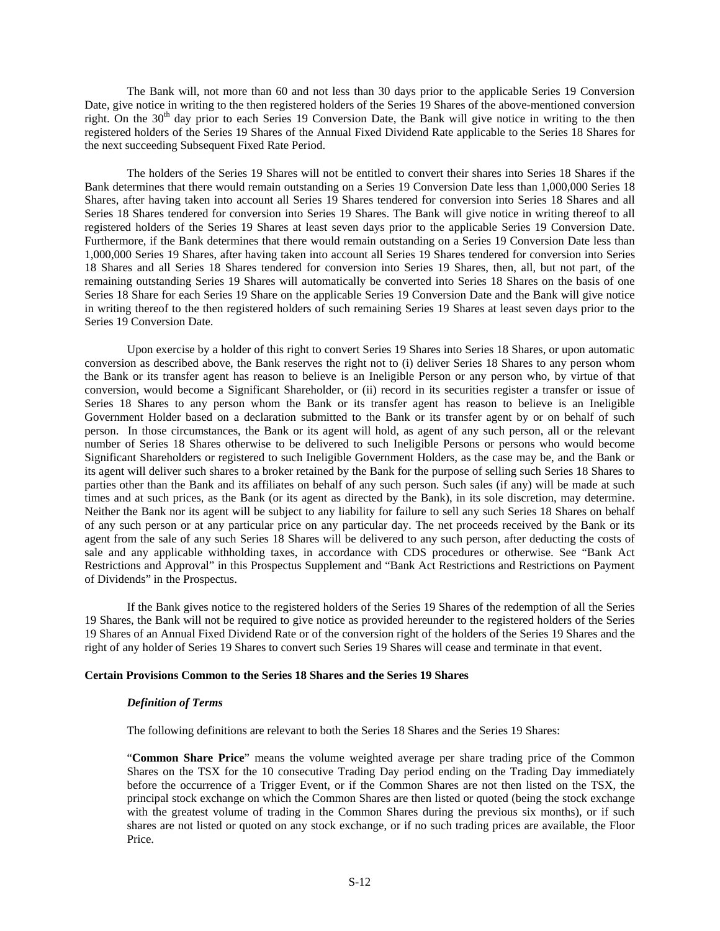The Bank will, not more than 60 and not less than 30 days prior to the applicable Series 19 Conversion Date, give notice in writing to the then registered holders of the Series 19 Shares of the above-mentioned conversion right. On the 30<sup>th</sup> day prior to each Series 19 Conversion Date, the Bank will give notice in writing to the then registered holders of the Series 19 Shares of the Annual Fixed Dividend Rate applicable to the Series 18 Shares for the next succeeding Subsequent Fixed Rate Period.

The holders of the Series 19 Shares will not be entitled to convert their shares into Series 18 Shares if the Bank determines that there would remain outstanding on a Series 19 Conversion Date less than 1,000,000 Series 18 Shares, after having taken into account all Series 19 Shares tendered for conversion into Series 18 Shares and all Series 18 Shares tendered for conversion into Series 19 Shares. The Bank will give notice in writing thereof to all registered holders of the Series 19 Shares at least seven days prior to the applicable Series 19 Conversion Date. Furthermore, if the Bank determines that there would remain outstanding on a Series 19 Conversion Date less than 1,000,000 Series 19 Shares, after having taken into account all Series 19 Shares tendered for conversion into Series 18 Shares and all Series 18 Shares tendered for conversion into Series 19 Shares, then, all, but not part, of the remaining outstanding Series 19 Shares will automatically be converted into Series 18 Shares on the basis of one Series 18 Share for each Series 19 Share on the applicable Series 19 Conversion Date and the Bank will give notice in writing thereof to the then registered holders of such remaining Series 19 Shares at least seven days prior to the Series 19 Conversion Date.

Upon exercise by a holder of this right to convert Series 19 Shares into Series 18 Shares, or upon automatic conversion as described above, the Bank reserves the right not to (i) deliver Series 18 Shares to any person whom the Bank or its transfer agent has reason to believe is an Ineligible Person or any person who, by virtue of that conversion, would become a Significant Shareholder, or (ii) record in its securities register a transfer or issue of Series 18 Shares to any person whom the Bank or its transfer agent has reason to believe is an Ineligible Government Holder based on a declaration submitted to the Bank or its transfer agent by or on behalf of such person. In those circumstances, the Bank or its agent will hold, as agent of any such person, all or the relevant number of Series 18 Shares otherwise to be delivered to such Ineligible Persons or persons who would become Significant Shareholders or registered to such Ineligible Government Holders, as the case may be, and the Bank or its agent will deliver such shares to a broker retained by the Bank for the purpose of selling such Series 18 Shares to parties other than the Bank and its affiliates on behalf of any such person. Such sales (if any) will be made at such times and at such prices, as the Bank (or its agent as directed by the Bank), in its sole discretion, may determine. Neither the Bank nor its agent will be subject to any liability for failure to sell any such Series 18 Shares on behalf of any such person or at any particular price on any particular day. The net proceeds received by the Bank or its agent from the sale of any such Series 18 Shares will be delivered to any such person, after deducting the costs of sale and any applicable withholding taxes, in accordance with CDS procedures or otherwise. See "Bank Act Restrictions and Approval" in this Prospectus Supplement and "Bank Act Restrictions and Restrictions on Payment of Dividends" in the Prospectus.

If the Bank gives notice to the registered holders of the Series 19 Shares of the redemption of all the Series 19 Shares, the Bank will not be required to give notice as provided hereunder to the registered holders of the Series 19 Shares of an Annual Fixed Dividend Rate or of the conversion right of the holders of the Series 19 Shares and the right of any holder of Series 19 Shares to convert such Series 19 Shares will cease and terminate in that event.

## **Certain Provisions Common to the Series 18 Shares and the Series 19 Shares**

## *Definition of Terms*

The following definitions are relevant to both the Series 18 Shares and the Series 19 Shares:

"**Common Share Price**" means the volume weighted average per share trading price of the Common Shares on the TSX for the 10 consecutive Trading Day period ending on the Trading Day immediately before the occurrence of a Trigger Event, or if the Common Shares are not then listed on the TSX, the principal stock exchange on which the Common Shares are then listed or quoted (being the stock exchange with the greatest volume of trading in the Common Shares during the previous six months), or if such shares are not listed or quoted on any stock exchange, or if no such trading prices are available, the Floor Price.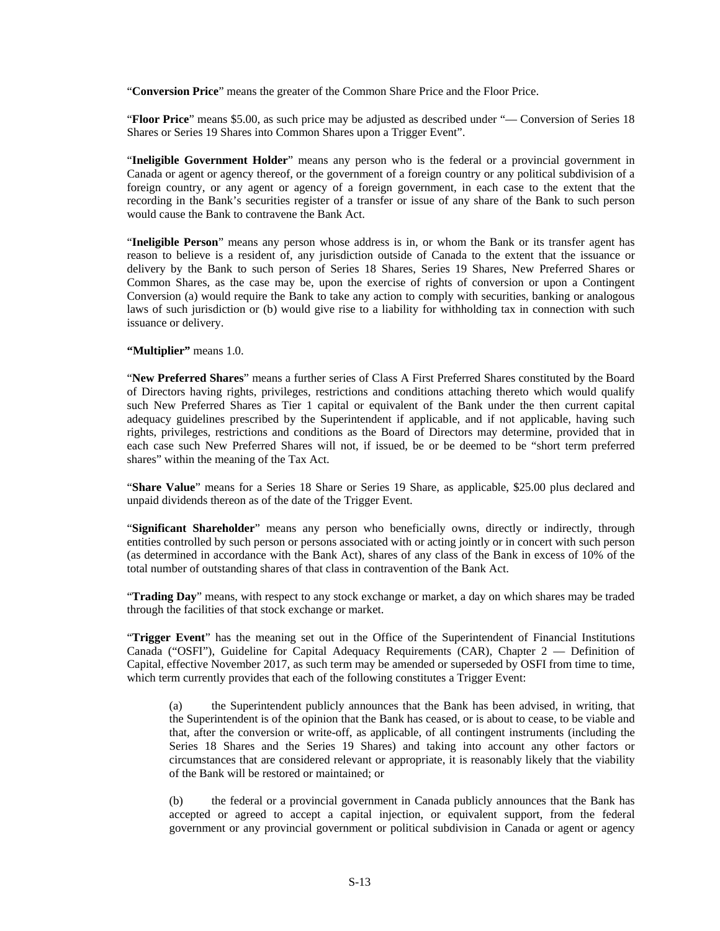"**Conversion Price**" means the greater of the Common Share Price and the Floor Price.

"**Floor Price**" means \$5.00, as such price may be adjusted as described under "— Conversion of Series 18 Shares or Series 19 Shares into Common Shares upon a Trigger Event".

"**Ineligible Government Holder**" means any person who is the federal or a provincial government in Canada or agent or agency thereof, or the government of a foreign country or any political subdivision of a foreign country, or any agent or agency of a foreign government, in each case to the extent that the recording in the Bank's securities register of a transfer or issue of any share of the Bank to such person would cause the Bank to contravene the Bank Act.

"**Ineligible Person**" means any person whose address is in, or whom the Bank or its transfer agent has reason to believe is a resident of, any jurisdiction outside of Canada to the extent that the issuance or delivery by the Bank to such person of Series 18 Shares, Series 19 Shares, New Preferred Shares or Common Shares, as the case may be, upon the exercise of rights of conversion or upon a Contingent Conversion (a) would require the Bank to take any action to comply with securities, banking or analogous laws of such jurisdiction or (b) would give rise to a liability for withholding tax in connection with such issuance or delivery.

**"Multiplier"** means 1.0.

"**New Preferred Shares**" means a further series of Class A First Preferred Shares constituted by the Board of Directors having rights, privileges, restrictions and conditions attaching thereto which would qualify such New Preferred Shares as Tier 1 capital or equivalent of the Bank under the then current capital adequacy guidelines prescribed by the Superintendent if applicable, and if not applicable, having such rights, privileges, restrictions and conditions as the Board of Directors may determine, provided that in each case such New Preferred Shares will not, if issued, be or be deemed to be "short term preferred shares" within the meaning of the Tax Act.

"**Share Value**" means for a Series 18 Share or Series 19 Share, as applicable, \$25.00 plus declared and unpaid dividends thereon as of the date of the Trigger Event.

"**Significant Shareholder**" means any person who beneficially owns, directly or indirectly, through entities controlled by such person or persons associated with or acting jointly or in concert with such person (as determined in accordance with the Bank Act), shares of any class of the Bank in excess of 10% of the total number of outstanding shares of that class in contravention of the Bank Act.

"**Trading Day**" means, with respect to any stock exchange or market, a day on which shares may be traded through the facilities of that stock exchange or market.

"**Trigger Event**" has the meaning set out in the Office of the Superintendent of Financial Institutions Canada ("OSFI"), Guideline for Capital Adequacy Requirements (CAR), Chapter 2 — Definition of Capital, effective November 2017, as such term may be amended or superseded by OSFI from time to time, which term currently provides that each of the following constitutes a Trigger Event:

(a) the Superintendent publicly announces that the Bank has been advised, in writing, that the Superintendent is of the opinion that the Bank has ceased, or is about to cease, to be viable and that, after the conversion or write-off, as applicable, of all contingent instruments (including the Series 18 Shares and the Series 19 Shares) and taking into account any other factors or circumstances that are considered relevant or appropriate, it is reasonably likely that the viability of the Bank will be restored or maintained; or

(b) the federal or a provincial government in Canada publicly announces that the Bank has accepted or agreed to accept a capital injection, or equivalent support, from the federal government or any provincial government or political subdivision in Canada or agent or agency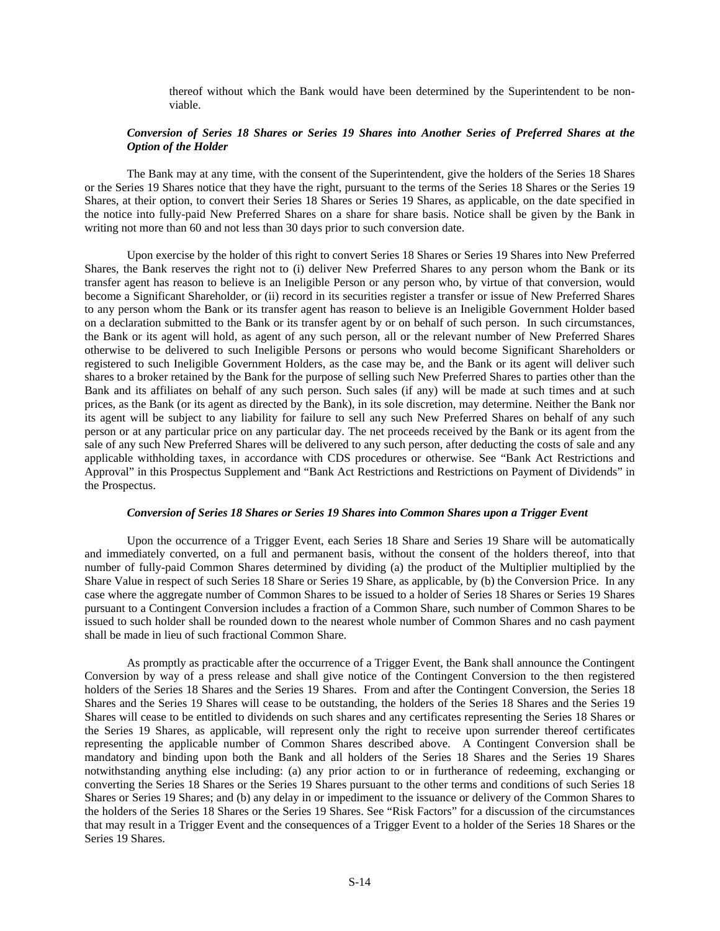thereof without which the Bank would have been determined by the Superintendent to be nonviable.

## *Conversion of Series 18 Shares or Series 19 Shares into Another Series of Preferred Shares at the Option of the Holder*

The Bank may at any time, with the consent of the Superintendent, give the holders of the Series 18 Shares or the Series 19 Shares notice that they have the right, pursuant to the terms of the Series 18 Shares or the Series 19 Shares, at their option, to convert their Series 18 Shares or Series 19 Shares, as applicable, on the date specified in the notice into fully-paid New Preferred Shares on a share for share basis. Notice shall be given by the Bank in writing not more than 60 and not less than 30 days prior to such conversion date.

Upon exercise by the holder of this right to convert Series 18 Shares or Series 19 Shares into New Preferred Shares, the Bank reserves the right not to (i) deliver New Preferred Shares to any person whom the Bank or its transfer agent has reason to believe is an Ineligible Person or any person who, by virtue of that conversion, would become a Significant Shareholder, or (ii) record in its securities register a transfer or issue of New Preferred Shares to any person whom the Bank or its transfer agent has reason to believe is an Ineligible Government Holder based on a declaration submitted to the Bank or its transfer agent by or on behalf of such person. In such circumstances, the Bank or its agent will hold, as agent of any such person, all or the relevant number of New Preferred Shares otherwise to be delivered to such Ineligible Persons or persons who would become Significant Shareholders or registered to such Ineligible Government Holders, as the case may be, and the Bank or its agent will deliver such shares to a broker retained by the Bank for the purpose of selling such New Preferred Shares to parties other than the Bank and its affiliates on behalf of any such person. Such sales (if any) will be made at such times and at such prices, as the Bank (or its agent as directed by the Bank), in its sole discretion, may determine. Neither the Bank nor its agent will be subject to any liability for failure to sell any such New Preferred Shares on behalf of any such person or at any particular price on any particular day. The net proceeds received by the Bank or its agent from the sale of any such New Preferred Shares will be delivered to any such person, after deducting the costs of sale and any applicable withholding taxes, in accordance with CDS procedures or otherwise. See "Bank Act Restrictions and Approval" in this Prospectus Supplement and "Bank Act Restrictions and Restrictions on Payment of Dividends" in the Prospectus.

# *Conversion of Series 18 Shares or Series 19 Shares into Common Shares upon a Trigger Event*

Upon the occurrence of a Trigger Event, each Series 18 Share and Series 19 Share will be automatically and immediately converted, on a full and permanent basis, without the consent of the holders thereof, into that number of fully-paid Common Shares determined by dividing (a) the product of the Multiplier multiplied by the Share Value in respect of such Series 18 Share or Series 19 Share, as applicable, by (b) the Conversion Price. In any case where the aggregate number of Common Shares to be issued to a holder of Series 18 Shares or Series 19 Shares pursuant to a Contingent Conversion includes a fraction of a Common Share, such number of Common Shares to be issued to such holder shall be rounded down to the nearest whole number of Common Shares and no cash payment shall be made in lieu of such fractional Common Share.

As promptly as practicable after the occurrence of a Trigger Event, the Bank shall announce the Contingent Conversion by way of a press release and shall give notice of the Contingent Conversion to the then registered holders of the Series 18 Shares and the Series 19 Shares. From and after the Contingent Conversion, the Series 18 Shares and the Series 19 Shares will cease to be outstanding, the holders of the Series 18 Shares and the Series 19 Shares will cease to be entitled to dividends on such shares and any certificates representing the Series 18 Shares or the Series 19 Shares, as applicable, will represent only the right to receive upon surrender thereof certificates representing the applicable number of Common Shares described above. A Contingent Conversion shall be mandatory and binding upon both the Bank and all holders of the Series 18 Shares and the Series 19 Shares notwithstanding anything else including: (a) any prior action to or in furtherance of redeeming, exchanging or converting the Series 18 Shares or the Series 19 Shares pursuant to the other terms and conditions of such Series 18 Shares or Series 19 Shares; and (b) any delay in or impediment to the issuance or delivery of the Common Shares to the holders of the Series 18 Shares or the Series 19 Shares. See "Risk Factors" for a discussion of the circumstances that may result in a Trigger Event and the consequences of a Trigger Event to a holder of the Series 18 Shares or the Series 19 Shares.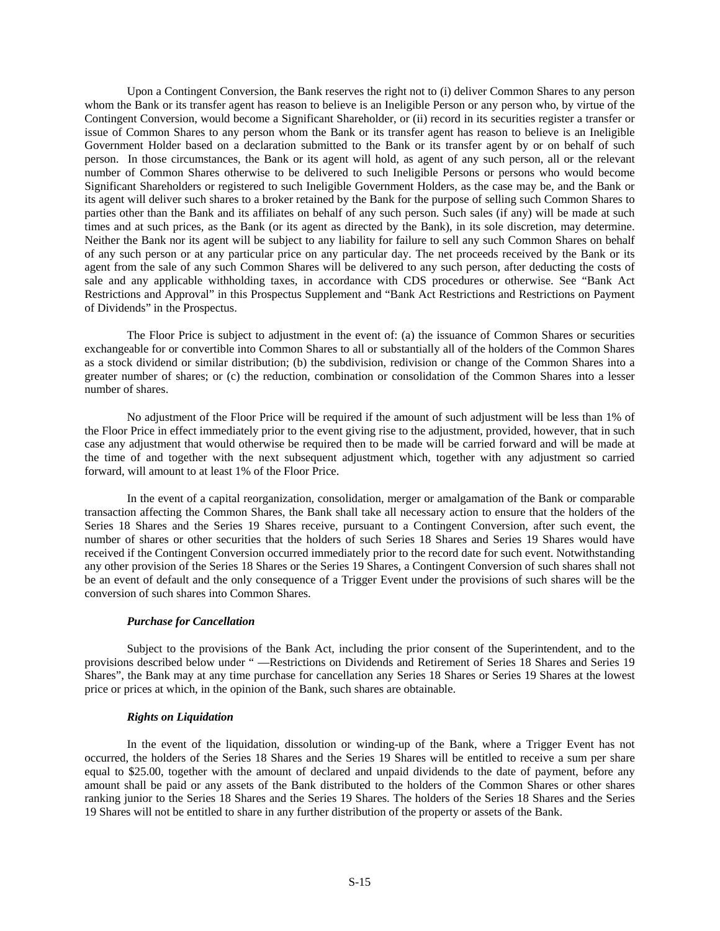Upon a Contingent Conversion, the Bank reserves the right not to (i) deliver Common Shares to any person whom the Bank or its transfer agent has reason to believe is an Ineligible Person or any person who, by virtue of the Contingent Conversion, would become a Significant Shareholder, or (ii) record in its securities register a transfer or issue of Common Shares to any person whom the Bank or its transfer agent has reason to believe is an Ineligible Government Holder based on a declaration submitted to the Bank or its transfer agent by or on behalf of such person. In those circumstances, the Bank or its agent will hold, as agent of any such person, all or the relevant number of Common Shares otherwise to be delivered to such Ineligible Persons or persons who would become Significant Shareholders or registered to such Ineligible Government Holders, as the case may be, and the Bank or its agent will deliver such shares to a broker retained by the Bank for the purpose of selling such Common Shares to parties other than the Bank and its affiliates on behalf of any such person. Such sales (if any) will be made at such times and at such prices, as the Bank (or its agent as directed by the Bank), in its sole discretion, may determine. Neither the Bank nor its agent will be subject to any liability for failure to sell any such Common Shares on behalf of any such person or at any particular price on any particular day. The net proceeds received by the Bank or its agent from the sale of any such Common Shares will be delivered to any such person, after deducting the costs of sale and any applicable withholding taxes, in accordance with CDS procedures or otherwise. See "Bank Act Restrictions and Approval" in this Prospectus Supplement and "Bank Act Restrictions and Restrictions on Payment of Dividends" in the Prospectus.

The Floor Price is subject to adjustment in the event of: (a) the issuance of Common Shares or securities exchangeable for or convertible into Common Shares to all or substantially all of the holders of the Common Shares as a stock dividend or similar distribution; (b) the subdivision, redivision or change of the Common Shares into a greater number of shares; or (c) the reduction, combination or consolidation of the Common Shares into a lesser number of shares.

No adjustment of the Floor Price will be required if the amount of such adjustment will be less than 1% of the Floor Price in effect immediately prior to the event giving rise to the adjustment, provided, however, that in such case any adjustment that would otherwise be required then to be made will be carried forward and will be made at the time of and together with the next subsequent adjustment which, together with any adjustment so carried forward, will amount to at least 1% of the Floor Price.

In the event of a capital reorganization, consolidation, merger or amalgamation of the Bank or comparable transaction affecting the Common Shares, the Bank shall take all necessary action to ensure that the holders of the Series 18 Shares and the Series 19 Shares receive, pursuant to a Contingent Conversion, after such event, the number of shares or other securities that the holders of such Series 18 Shares and Series 19 Shares would have received if the Contingent Conversion occurred immediately prior to the record date for such event. Notwithstanding any other provision of the Series 18 Shares or the Series 19 Shares, a Contingent Conversion of such shares shall not be an event of default and the only consequence of a Trigger Event under the provisions of such shares will be the conversion of such shares into Common Shares.

# *Purchase for Cancellation*

Subject to the provisions of the Bank Act, including the prior consent of the Superintendent, and to the provisions described below under " —Restrictions on Dividends and Retirement of Series 18 Shares and Series 19 Shares", the Bank may at any time purchase for cancellation any Series 18 Shares or Series 19 Shares at the lowest price or prices at which, in the opinion of the Bank, such shares are obtainable.

# *Rights on Liquidation*

In the event of the liquidation, dissolution or winding-up of the Bank, where a Trigger Event has not occurred, the holders of the Series 18 Shares and the Series 19 Shares will be entitled to receive a sum per share equal to \$25.00, together with the amount of declared and unpaid dividends to the date of payment, before any amount shall be paid or any assets of the Bank distributed to the holders of the Common Shares or other shares ranking junior to the Series 18 Shares and the Series 19 Shares. The holders of the Series 18 Shares and the Series 19 Shares will not be entitled to share in any further distribution of the property or assets of the Bank.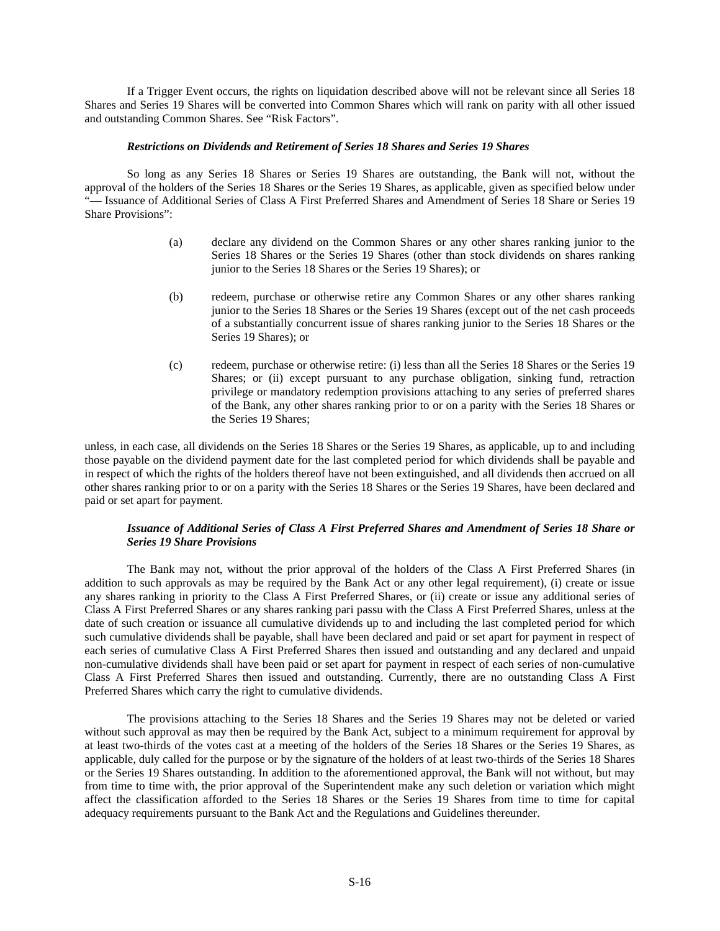If a Trigger Event occurs, the rights on liquidation described above will not be relevant since all Series 18 Shares and Series 19 Shares will be converted into Common Shares which will rank on parity with all other issued and outstanding Common Shares. See "Risk Factors".

## *Restrictions on Dividends and Retirement of Series 18 Shares and Series 19 Shares*

So long as any Series 18 Shares or Series 19 Shares are outstanding, the Bank will not, without the approval of the holders of the Series 18 Shares or the Series 19 Shares, as applicable, given as specified below under "— Issuance of Additional Series of Class A First Preferred Shares and Amendment of Series 18 Share or Series 19 Share Provisions":

- (a) declare any dividend on the Common Shares or any other shares ranking junior to the Series 18 Shares or the Series 19 Shares (other than stock dividends on shares ranking junior to the Series 18 Shares or the Series 19 Shares); or
- (b) redeem, purchase or otherwise retire any Common Shares or any other shares ranking junior to the Series 18 Shares or the Series 19 Shares (except out of the net cash proceeds of a substantially concurrent issue of shares ranking junior to the Series 18 Shares or the Series 19 Shares); or
- (c) redeem, purchase or otherwise retire: (i) less than all the Series 18 Shares or the Series 19 Shares; or (ii) except pursuant to any purchase obligation, sinking fund, retraction privilege or mandatory redemption provisions attaching to any series of preferred shares of the Bank, any other shares ranking prior to or on a parity with the Series 18 Shares or the Series 19 Shares;

unless, in each case, all dividends on the Series 18 Shares or the Series 19 Shares, as applicable, up to and including those payable on the dividend payment date for the last completed period for which dividends shall be payable and in respect of which the rights of the holders thereof have not been extinguished, and all dividends then accrued on all other shares ranking prior to or on a parity with the Series 18 Shares or the Series 19 Shares, have been declared and paid or set apart for payment.

# *Issuance of Additional Series of Class A First Preferred Shares and Amendment of Series 18 Share or Series 19 Share Provisions*

The Bank may not, without the prior approval of the holders of the Class A First Preferred Shares (in addition to such approvals as may be required by the Bank Act or any other legal requirement), (i) create or issue any shares ranking in priority to the Class A First Preferred Shares, or (ii) create or issue any additional series of Class A First Preferred Shares or any shares ranking pari passu with the Class A First Preferred Shares, unless at the date of such creation or issuance all cumulative dividends up to and including the last completed period for which such cumulative dividends shall be payable, shall have been declared and paid or set apart for payment in respect of each series of cumulative Class A First Preferred Shares then issued and outstanding and any declared and unpaid non-cumulative dividends shall have been paid or set apart for payment in respect of each series of non-cumulative Class A First Preferred Shares then issued and outstanding. Currently, there are no outstanding Class A First Preferred Shares which carry the right to cumulative dividends.

The provisions attaching to the Series 18 Shares and the Series 19 Shares may not be deleted or varied without such approval as may then be required by the Bank Act, subject to a minimum requirement for approval by at least two-thirds of the votes cast at a meeting of the holders of the Series 18 Shares or the Series 19 Shares, as applicable, duly called for the purpose or by the signature of the holders of at least two-thirds of the Series 18 Shares or the Series 19 Shares outstanding. In addition to the aforementioned approval, the Bank will not without, but may from time to time with, the prior approval of the Superintendent make any such deletion or variation which might affect the classification afforded to the Series 18 Shares or the Series 19 Shares from time to time for capital adequacy requirements pursuant to the Bank Act and the Regulations and Guidelines thereunder.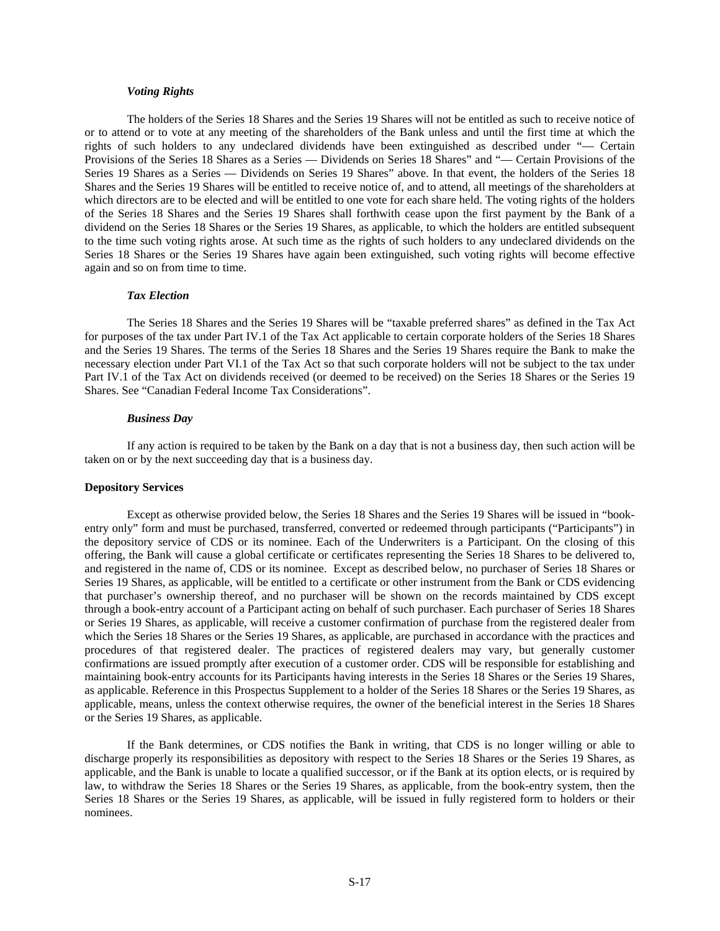#### *Voting Rights*

The holders of the Series 18 Shares and the Series 19 Shares will not be entitled as such to receive notice of or to attend or to vote at any meeting of the shareholders of the Bank unless and until the first time at which the rights of such holders to any undeclared dividends have been extinguished as described under "— Certain Provisions of the Series 18 Shares as a Series — Dividends on Series 18 Shares" and "— Certain Provisions of the Series 19 Shares as a Series — Dividends on Series 19 Shares" above. In that event, the holders of the Series 18 Shares and the Series 19 Shares will be entitled to receive notice of, and to attend, all meetings of the shareholders at which directors are to be elected and will be entitled to one vote for each share held. The voting rights of the holders of the Series 18 Shares and the Series 19 Shares shall forthwith cease upon the first payment by the Bank of a dividend on the Series 18 Shares or the Series 19 Shares, as applicable, to which the holders are entitled subsequent to the time such voting rights arose. At such time as the rights of such holders to any undeclared dividends on the Series 18 Shares or the Series 19 Shares have again been extinguished, such voting rights will become effective again and so on from time to time.

#### *Tax Election*

The Series 18 Shares and the Series 19 Shares will be "taxable preferred shares" as defined in the Tax Act for purposes of the tax under Part IV.1 of the Tax Act applicable to certain corporate holders of the Series 18 Shares and the Series 19 Shares. The terms of the Series 18 Shares and the Series 19 Shares require the Bank to make the necessary election under Part VI.1 of the Tax Act so that such corporate holders will not be subject to the tax under Part IV.1 of the Tax Act on dividends received (or deemed to be received) on the Series 18 Shares or the Series 19 Shares. See "Canadian Federal Income Tax Considerations".

#### *Business Day*

If any action is required to be taken by the Bank on a day that is not a business day, then such action will be taken on or by the next succeeding day that is a business day.

#### **Depository Services**

Except as otherwise provided below, the Series 18 Shares and the Series 19 Shares will be issued in "bookentry only" form and must be purchased, transferred, converted or redeemed through participants ("Participants") in the depository service of CDS or its nominee. Each of the Underwriters is a Participant. On the closing of this offering, the Bank will cause a global certificate or certificates representing the Series 18 Shares to be delivered to, and registered in the name of, CDS or its nominee. Except as described below, no purchaser of Series 18 Shares or Series 19 Shares, as applicable, will be entitled to a certificate or other instrument from the Bank or CDS evidencing that purchaser's ownership thereof, and no purchaser will be shown on the records maintained by CDS except through a book-entry account of a Participant acting on behalf of such purchaser. Each purchaser of Series 18 Shares or Series 19 Shares, as applicable, will receive a customer confirmation of purchase from the registered dealer from which the Series 18 Shares or the Series 19 Shares, as applicable, are purchased in accordance with the practices and procedures of that registered dealer. The practices of registered dealers may vary, but generally customer confirmations are issued promptly after execution of a customer order. CDS will be responsible for establishing and maintaining book-entry accounts for its Participants having interests in the Series 18 Shares or the Series 19 Shares, as applicable. Reference in this Prospectus Supplement to a holder of the Series 18 Shares or the Series 19 Shares, as applicable, means, unless the context otherwise requires, the owner of the beneficial interest in the Series 18 Shares or the Series 19 Shares, as applicable.

If the Bank determines, or CDS notifies the Bank in writing, that CDS is no longer willing or able to discharge properly its responsibilities as depository with respect to the Series 18 Shares or the Series 19 Shares, as applicable, and the Bank is unable to locate a qualified successor, or if the Bank at its option elects, or is required by law, to withdraw the Series 18 Shares or the Series 19 Shares, as applicable, from the book-entry system, then the Series 18 Shares or the Series 19 Shares, as applicable, will be issued in fully registered form to holders or their nominees.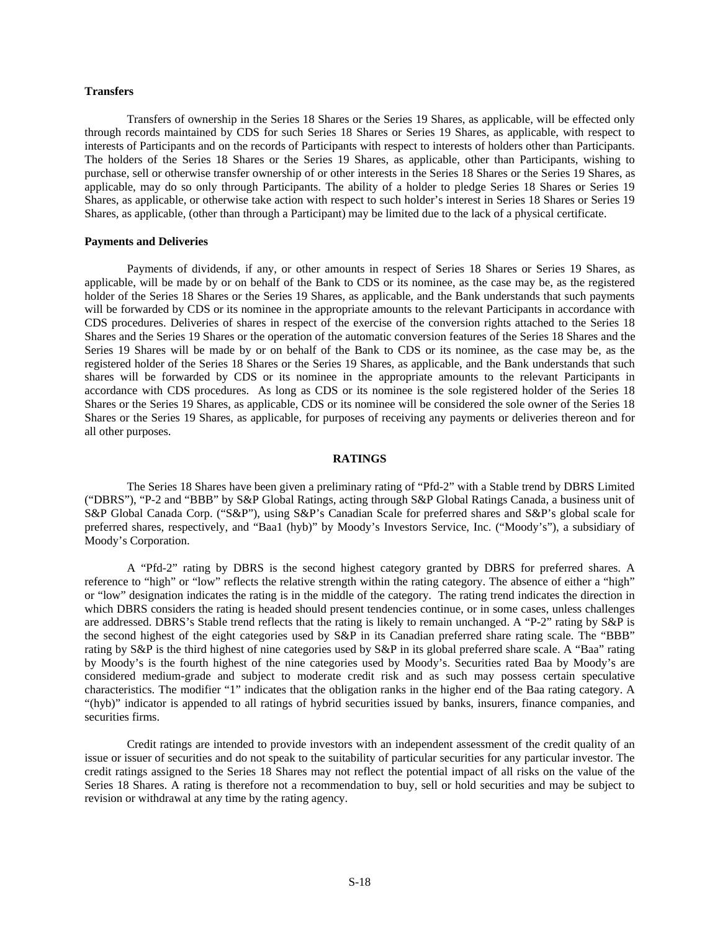## **Transfers**

Transfers of ownership in the Series 18 Shares or the Series 19 Shares, as applicable, will be effected only through records maintained by CDS for such Series 18 Shares or Series 19 Shares, as applicable, with respect to interests of Participants and on the records of Participants with respect to interests of holders other than Participants. The holders of the Series 18 Shares or the Series 19 Shares, as applicable, other than Participants, wishing to purchase, sell or otherwise transfer ownership of or other interests in the Series 18 Shares or the Series 19 Shares, as applicable, may do so only through Participants. The ability of a holder to pledge Series 18 Shares or Series 19 Shares, as applicable, or otherwise take action with respect to such holder's interest in Series 18 Shares or Series 19 Shares, as applicable, (other than through a Participant) may be limited due to the lack of a physical certificate.

#### **Payments and Deliveries**

Payments of dividends, if any, or other amounts in respect of Series 18 Shares or Series 19 Shares, as applicable, will be made by or on behalf of the Bank to CDS or its nominee, as the case may be, as the registered holder of the Series 18 Shares or the Series 19 Shares, as applicable, and the Bank understands that such payments will be forwarded by CDS or its nominee in the appropriate amounts to the relevant Participants in accordance with CDS procedures. Deliveries of shares in respect of the exercise of the conversion rights attached to the Series 18 Shares and the Series 19 Shares or the operation of the automatic conversion features of the Series 18 Shares and the Series 19 Shares will be made by or on behalf of the Bank to CDS or its nominee, as the case may be, as the registered holder of the Series 18 Shares or the Series 19 Shares, as applicable, and the Bank understands that such shares will be forwarded by CDS or its nominee in the appropriate amounts to the relevant Participants in accordance with CDS procedures. As long as CDS or its nominee is the sole registered holder of the Series 18 Shares or the Series 19 Shares, as applicable, CDS or its nominee will be considered the sole owner of the Series 18 Shares or the Series 19 Shares, as applicable, for purposes of receiving any payments or deliveries thereon and for all other purposes.

#### **RATINGS**

The Series 18 Shares have been given a preliminary rating of "Pfd-2" with a Stable trend by DBRS Limited ("DBRS"), "P-2 and "BBB" by S&P Global Ratings, acting through S&P Global Ratings Canada, a business unit of S&P Global Canada Corp. ("S&P"), using S&P's Canadian Scale for preferred shares and S&P's global scale for preferred shares, respectively, and "Baa1 (hyb)" by Moody's Investors Service, Inc. ("Moody's"), a subsidiary of Moody's Corporation.

A "Pfd-2" rating by DBRS is the second highest category granted by DBRS for preferred shares. A reference to "high" or "low" reflects the relative strength within the rating category. The absence of either a "high" or "low" designation indicates the rating is in the middle of the category. The rating trend indicates the direction in which DBRS considers the rating is headed should present tendencies continue, or in some cases, unless challenges are addressed. DBRS's Stable trend reflects that the rating is likely to remain unchanged. A "P-2" rating by S&P is the second highest of the eight categories used by S&P in its Canadian preferred share rating scale. The "BBB" rating by S&P is the third highest of nine categories used by S&P in its global preferred share scale. A "Baa" rating by Moody's is the fourth highest of the nine categories used by Moody's. Securities rated Baa by Moody's are considered medium-grade and subject to moderate credit risk and as such may possess certain speculative characteristics. The modifier "1" indicates that the obligation ranks in the higher end of the Baa rating category. A "(hyb)" indicator is appended to all ratings of hybrid securities issued by banks, insurers, finance companies, and securities firms.

Credit ratings are intended to provide investors with an independent assessment of the credit quality of an issue or issuer of securities and do not speak to the suitability of particular securities for any particular investor. The credit ratings assigned to the Series 18 Shares may not reflect the potential impact of all risks on the value of the Series 18 Shares. A rating is therefore not a recommendation to buy, sell or hold securities and may be subject to revision or withdrawal at any time by the rating agency.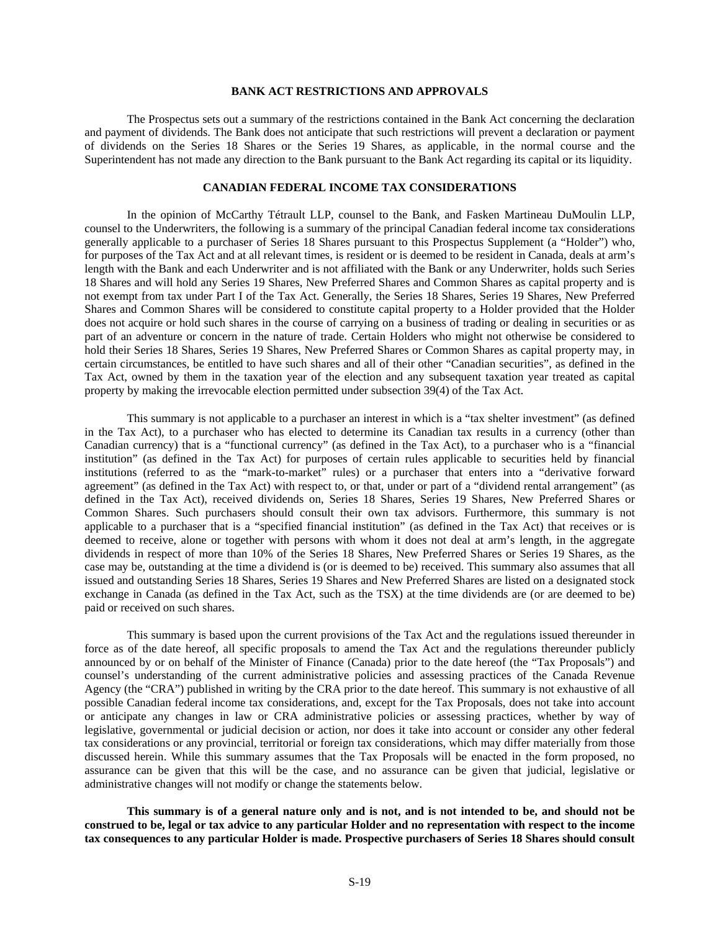# **BANK ACT RESTRICTIONS AND APPROVALS**

The Prospectus sets out a summary of the restrictions contained in the Bank Act concerning the declaration and payment of dividends. The Bank does not anticipate that such restrictions will prevent a declaration or payment of dividends on the Series 18 Shares or the Series 19 Shares, as applicable, in the normal course and the Superintendent has not made any direction to the Bank pursuant to the Bank Act regarding its capital or its liquidity.

# **CANADIAN FEDERAL INCOME TAX CONSIDERATIONS**

In the opinion of McCarthy Tétrault LLP, counsel to the Bank, and Fasken Martineau DuMoulin LLP, counsel to the Underwriters, the following is a summary of the principal Canadian federal income tax considerations generally applicable to a purchaser of Series 18 Shares pursuant to this Prospectus Supplement (a "Holder") who, for purposes of the Tax Act and at all relevant times, is resident or is deemed to be resident in Canada, deals at arm's length with the Bank and each Underwriter and is not affiliated with the Bank or any Underwriter, holds such Series 18 Shares and will hold any Series 19 Shares, New Preferred Shares and Common Shares as capital property and is not exempt from tax under Part I of the Tax Act. Generally, the Series 18 Shares, Series 19 Shares, New Preferred Shares and Common Shares will be considered to constitute capital property to a Holder provided that the Holder does not acquire or hold such shares in the course of carrying on a business of trading or dealing in securities or as part of an adventure or concern in the nature of trade. Certain Holders who might not otherwise be considered to hold their Series 18 Shares, Series 19 Shares, New Preferred Shares or Common Shares as capital property may, in certain circumstances, be entitled to have such shares and all of their other "Canadian securities", as defined in the Tax Act, owned by them in the taxation year of the election and any subsequent taxation year treated as capital property by making the irrevocable election permitted under subsection 39(4) of the Tax Act.

This summary is not applicable to a purchaser an interest in which is a "tax shelter investment" (as defined in the Tax Act), to a purchaser who has elected to determine its Canadian tax results in a currency (other than Canadian currency) that is a "functional currency" (as defined in the Tax Act), to a purchaser who is a "financial institution" (as defined in the Tax Act) for purposes of certain rules applicable to securities held by financial institutions (referred to as the "mark-to-market" rules) or a purchaser that enters into a "derivative forward agreement" (as defined in the Tax Act) with respect to, or that, under or part of a "dividend rental arrangement" (as defined in the Tax Act), received dividends on, Series 18 Shares, Series 19 Shares, New Preferred Shares or Common Shares. Such purchasers should consult their own tax advisors. Furthermore, this summary is not applicable to a purchaser that is a "specified financial institution" (as defined in the Tax Act) that receives or is deemed to receive, alone or together with persons with whom it does not deal at arm's length, in the aggregate dividends in respect of more than 10% of the Series 18 Shares, New Preferred Shares or Series 19 Shares, as the case may be, outstanding at the time a dividend is (or is deemed to be) received. This summary also assumes that all issued and outstanding Series 18 Shares, Series 19 Shares and New Preferred Shares are listed on a designated stock exchange in Canada (as defined in the Tax Act, such as the TSX) at the time dividends are (or are deemed to be) paid or received on such shares.

This summary is based upon the current provisions of the Tax Act and the regulations issued thereunder in force as of the date hereof, all specific proposals to amend the Tax Act and the regulations thereunder publicly announced by or on behalf of the Minister of Finance (Canada) prior to the date hereof (the "Tax Proposals") and counsel's understanding of the current administrative policies and assessing practices of the Canada Revenue Agency (the "CRA") published in writing by the CRA prior to the date hereof. This summary is not exhaustive of all possible Canadian federal income tax considerations, and, except for the Tax Proposals, does not take into account or anticipate any changes in law or CRA administrative policies or assessing practices, whether by way of legislative, governmental or judicial decision or action, nor does it take into account or consider any other federal tax considerations or any provincial, territorial or foreign tax considerations, which may differ materially from those discussed herein. While this summary assumes that the Tax Proposals will be enacted in the form proposed, no assurance can be given that this will be the case, and no assurance can be given that judicial, legislative or administrative changes will not modify or change the statements below.

**This summary is of a general nature only and is not, and is not intended to be, and should not be construed to be, legal or tax advice to any particular Holder and no representation with respect to the income tax consequences to any particular Holder is made. Prospective purchasers of Series 18 Shares should consult**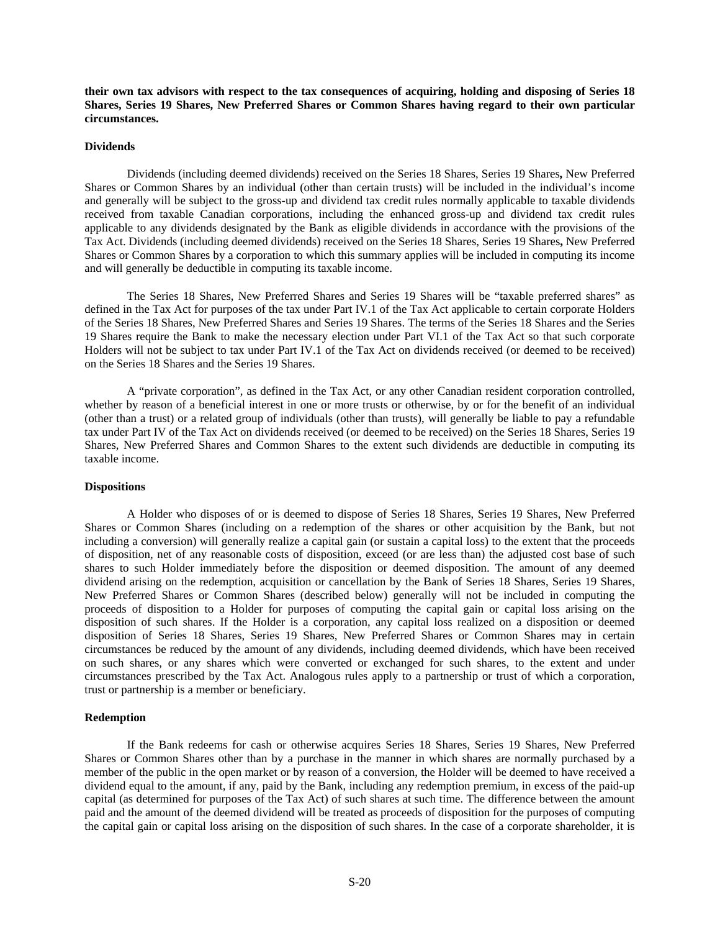**their own tax advisors with respect to the tax consequences of acquiring, holding and disposing of Series 18 Shares, Series 19 Shares, New Preferred Shares or Common Shares having regard to their own particular circumstances.** 

#### **Dividends**

Dividends (including deemed dividends) received on the Series 18 Shares, Series 19 Shares**,** New Preferred Shares or Common Shares by an individual (other than certain trusts) will be included in the individual's income and generally will be subject to the gross-up and dividend tax credit rules normally applicable to taxable dividends received from taxable Canadian corporations, including the enhanced gross-up and dividend tax credit rules applicable to any dividends designated by the Bank as eligible dividends in accordance with the provisions of the Tax Act. Dividends (including deemed dividends) received on the Series 18 Shares, Series 19 Shares**,** New Preferred Shares or Common Shares by a corporation to which this summary applies will be included in computing its income and will generally be deductible in computing its taxable income.

The Series 18 Shares, New Preferred Shares and Series 19 Shares will be "taxable preferred shares" as defined in the Tax Act for purposes of the tax under Part IV.1 of the Tax Act applicable to certain corporate Holders of the Series 18 Shares, New Preferred Shares and Series 19 Shares. The terms of the Series 18 Shares and the Series 19 Shares require the Bank to make the necessary election under Part VI.1 of the Tax Act so that such corporate Holders will not be subject to tax under Part IV.1 of the Tax Act on dividends received (or deemed to be received) on the Series 18 Shares and the Series 19 Shares.

A "private corporation", as defined in the Tax Act, or any other Canadian resident corporation controlled, whether by reason of a beneficial interest in one or more trusts or otherwise, by or for the benefit of an individual (other than a trust) or a related group of individuals (other than trusts), will generally be liable to pay a refundable tax under Part IV of the Tax Act on dividends received (or deemed to be received) on the Series 18 Shares, Series 19 Shares, New Preferred Shares and Common Shares to the extent such dividends are deductible in computing its taxable income.

#### **Dispositions**

A Holder who disposes of or is deemed to dispose of Series 18 Shares, Series 19 Shares, New Preferred Shares or Common Shares (including on a redemption of the shares or other acquisition by the Bank, but not including a conversion) will generally realize a capital gain (or sustain a capital loss) to the extent that the proceeds of disposition, net of any reasonable costs of disposition, exceed (or are less than) the adjusted cost base of such shares to such Holder immediately before the disposition or deemed disposition. The amount of any deemed dividend arising on the redemption, acquisition or cancellation by the Bank of Series 18 Shares, Series 19 Shares, New Preferred Shares or Common Shares (described below) generally will not be included in computing the proceeds of disposition to a Holder for purposes of computing the capital gain or capital loss arising on the disposition of such shares. If the Holder is a corporation, any capital loss realized on a disposition or deemed disposition of Series 18 Shares, Series 19 Shares, New Preferred Shares or Common Shares may in certain circumstances be reduced by the amount of any dividends, including deemed dividends, which have been received on such shares, or any shares which were converted or exchanged for such shares, to the extent and under circumstances prescribed by the Tax Act. Analogous rules apply to a partnership or trust of which a corporation, trust or partnership is a member or beneficiary.

## **Redemption**

If the Bank redeems for cash or otherwise acquires Series 18 Shares, Series 19 Shares, New Preferred Shares or Common Shares other than by a purchase in the manner in which shares are normally purchased by a member of the public in the open market or by reason of a conversion, the Holder will be deemed to have received a dividend equal to the amount, if any, paid by the Bank, including any redemption premium, in excess of the paid-up capital (as determined for purposes of the Tax Act) of such shares at such time. The difference between the amount paid and the amount of the deemed dividend will be treated as proceeds of disposition for the purposes of computing the capital gain or capital loss arising on the disposition of such shares. In the case of a corporate shareholder, it is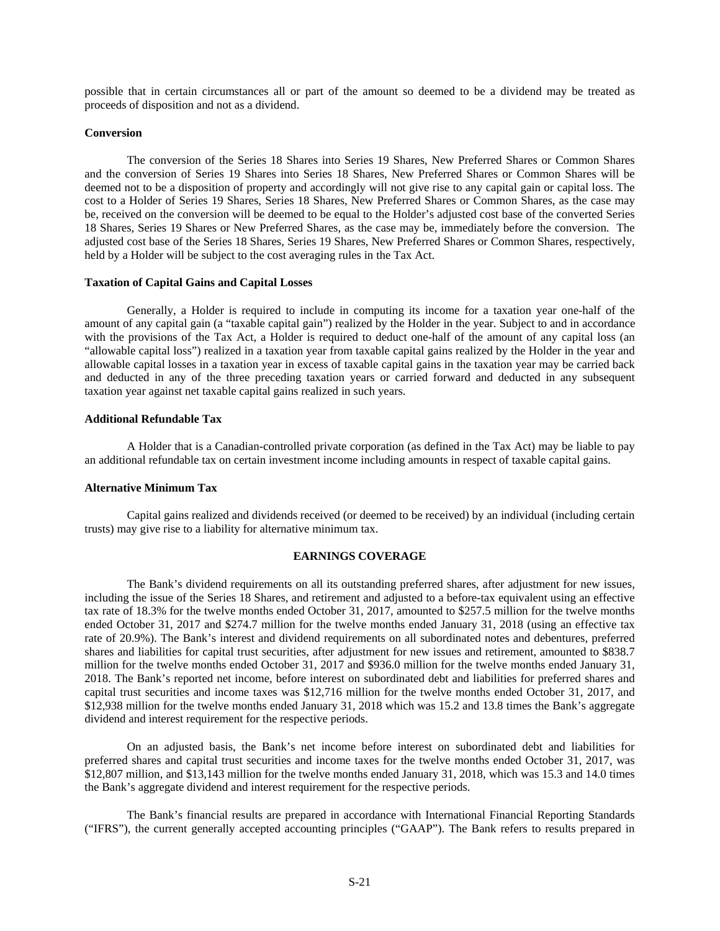possible that in certain circumstances all or part of the amount so deemed to be a dividend may be treated as proceeds of disposition and not as a dividend.

#### **Conversion**

The conversion of the Series 18 Shares into Series 19 Shares, New Preferred Shares or Common Shares and the conversion of Series 19 Shares into Series 18 Shares, New Preferred Shares or Common Shares will be deemed not to be a disposition of property and accordingly will not give rise to any capital gain or capital loss. The cost to a Holder of Series 19 Shares, Series 18 Shares, New Preferred Shares or Common Shares, as the case may be, received on the conversion will be deemed to be equal to the Holder's adjusted cost base of the converted Series 18 Shares, Series 19 Shares or New Preferred Shares, as the case may be, immediately before the conversion. The adjusted cost base of the Series 18 Shares, Series 19 Shares, New Preferred Shares or Common Shares, respectively, held by a Holder will be subject to the cost averaging rules in the Tax Act.

#### **Taxation of Capital Gains and Capital Losses**

Generally, a Holder is required to include in computing its income for a taxation year one-half of the amount of any capital gain (a "taxable capital gain") realized by the Holder in the year. Subject to and in accordance with the provisions of the Tax Act, a Holder is required to deduct one-half of the amount of any capital loss (an "allowable capital loss") realized in a taxation year from taxable capital gains realized by the Holder in the year and allowable capital losses in a taxation year in excess of taxable capital gains in the taxation year may be carried back and deducted in any of the three preceding taxation years or carried forward and deducted in any subsequent taxation year against net taxable capital gains realized in such years.

#### **Additional Refundable Tax**

A Holder that is a Canadian-controlled private corporation (as defined in the Tax Act) may be liable to pay an additional refundable tax on certain investment income including amounts in respect of taxable capital gains.

## **Alternative Minimum Tax**

Capital gains realized and dividends received (or deemed to be received) by an individual (including certain trusts) may give rise to a liability for alternative minimum tax.

## **EARNINGS COVERAGE**

The Bank's dividend requirements on all its outstanding preferred shares, after adjustment for new issues, including the issue of the Series 18 Shares, and retirement and adjusted to a before-tax equivalent using an effective tax rate of 18.3% for the twelve months ended October 31, 2017, amounted to \$257.5 million for the twelve months ended October 31, 2017 and \$274.7 million for the twelve months ended January 31, 2018 (using an effective tax rate of 20.9%). The Bank's interest and dividend requirements on all subordinated notes and debentures, preferred shares and liabilities for capital trust securities, after adjustment for new issues and retirement, amounted to \$838.7 million for the twelve months ended October 31, 2017 and \$936.0 million for the twelve months ended January 31, 2018. The Bank's reported net income, before interest on subordinated debt and liabilities for preferred shares and capital trust securities and income taxes was \$12,716 million for the twelve months ended October 31, 2017, and \$12,938 million for the twelve months ended January 31, 2018 which was 15.2 and 13.8 times the Bank's aggregate dividend and interest requirement for the respective periods.

On an adjusted basis, the Bank's net income before interest on subordinated debt and liabilities for preferred shares and capital trust securities and income taxes for the twelve months ended October 31, 2017, was \$12,807 million, and \$13,143 million for the twelve months ended January 31, 2018, which was 15.3 and 14.0 times the Bank's aggregate dividend and interest requirement for the respective periods.

The Bank's financial results are prepared in accordance with International Financial Reporting Standards ("IFRS"), the current generally accepted accounting principles ("GAAP"). The Bank refers to results prepared in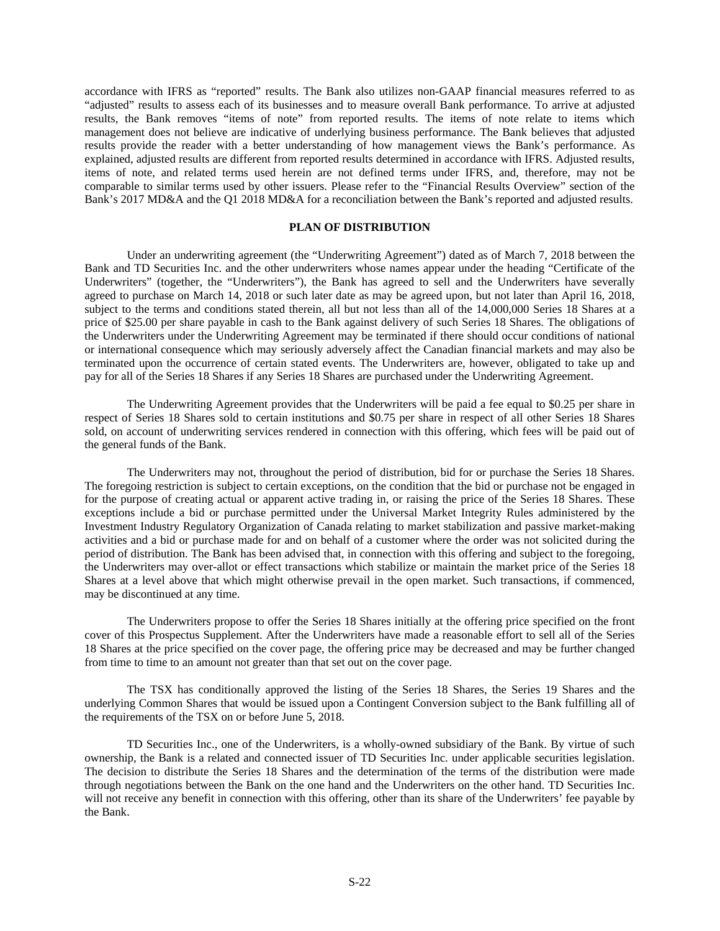accordance with IFRS as "reported" results. The Bank also utilizes non-GAAP financial measures referred to as "adjusted" results to assess each of its businesses and to measure overall Bank performance. To arrive at adjusted results, the Bank removes "items of note" from reported results. The items of note relate to items which management does not believe are indicative of underlying business performance. The Bank believes that adjusted results provide the reader with a better understanding of how management views the Bank's performance. As explained, adjusted results are different from reported results determined in accordance with IFRS. Adjusted results, items of note, and related terms used herein are not defined terms under IFRS, and, therefore, may not be comparable to similar terms used by other issuers. Please refer to the "Financial Results Overview" section of the Bank's 2017 MD&A and the Q1 2018 MD&A for a reconciliation between the Bank's reported and adjusted results.

## **PLAN OF DISTRIBUTION**

Under an underwriting agreement (the "Underwriting Agreement") dated as of March 7, 2018 between the Bank and TD Securities Inc. and the other underwriters whose names appear under the heading "Certificate of the Underwriters" (together, the "Underwriters"), the Bank has agreed to sell and the Underwriters have severally agreed to purchase on March 14, 2018 or such later date as may be agreed upon, but not later than April 16, 2018, subject to the terms and conditions stated therein, all but not less than all of the 14,000,000 Series 18 Shares at a price of \$25.00 per share payable in cash to the Bank against delivery of such Series 18 Shares. The obligations of the Underwriters under the Underwriting Agreement may be terminated if there should occur conditions of national or international consequence which may seriously adversely affect the Canadian financial markets and may also be terminated upon the occurrence of certain stated events. The Underwriters are, however, obligated to take up and pay for all of the Series 18 Shares if any Series 18 Shares are purchased under the Underwriting Agreement.

The Underwriting Agreement provides that the Underwriters will be paid a fee equal to \$0.25 per share in respect of Series 18 Shares sold to certain institutions and \$0.75 per share in respect of all other Series 18 Shares sold, on account of underwriting services rendered in connection with this offering, which fees will be paid out of the general funds of the Bank.

The Underwriters may not, throughout the period of distribution, bid for or purchase the Series 18 Shares. The foregoing restriction is subject to certain exceptions, on the condition that the bid or purchase not be engaged in for the purpose of creating actual or apparent active trading in, or raising the price of the Series 18 Shares. These exceptions include a bid or purchase permitted under the Universal Market Integrity Rules administered by the Investment Industry Regulatory Organization of Canada relating to market stabilization and passive market-making activities and a bid or purchase made for and on behalf of a customer where the order was not solicited during the period of distribution. The Bank has been advised that, in connection with this offering and subject to the foregoing, the Underwriters may over-allot or effect transactions which stabilize or maintain the market price of the Series 18 Shares at a level above that which might otherwise prevail in the open market. Such transactions, if commenced, may be discontinued at any time.

The Underwriters propose to offer the Series 18 Shares initially at the offering price specified on the front cover of this Prospectus Supplement. After the Underwriters have made a reasonable effort to sell all of the Series 18 Shares at the price specified on the cover page, the offering price may be decreased and may be further changed from time to time to an amount not greater than that set out on the cover page.

The TSX has conditionally approved the listing of the Series 18 Shares, the Series 19 Shares and the underlying Common Shares that would be issued upon a Contingent Conversion subject to the Bank fulfilling all of the requirements of the TSX on or before June 5, 2018.

TD Securities Inc., one of the Underwriters, is a wholly-owned subsidiary of the Bank. By virtue of such ownership, the Bank is a related and connected issuer of TD Securities Inc. under applicable securities legislation. The decision to distribute the Series 18 Shares and the determination of the terms of the distribution were made through negotiations between the Bank on the one hand and the Underwriters on the other hand. TD Securities Inc. will not receive any benefit in connection with this offering, other than its share of the Underwriters' fee payable by the Bank.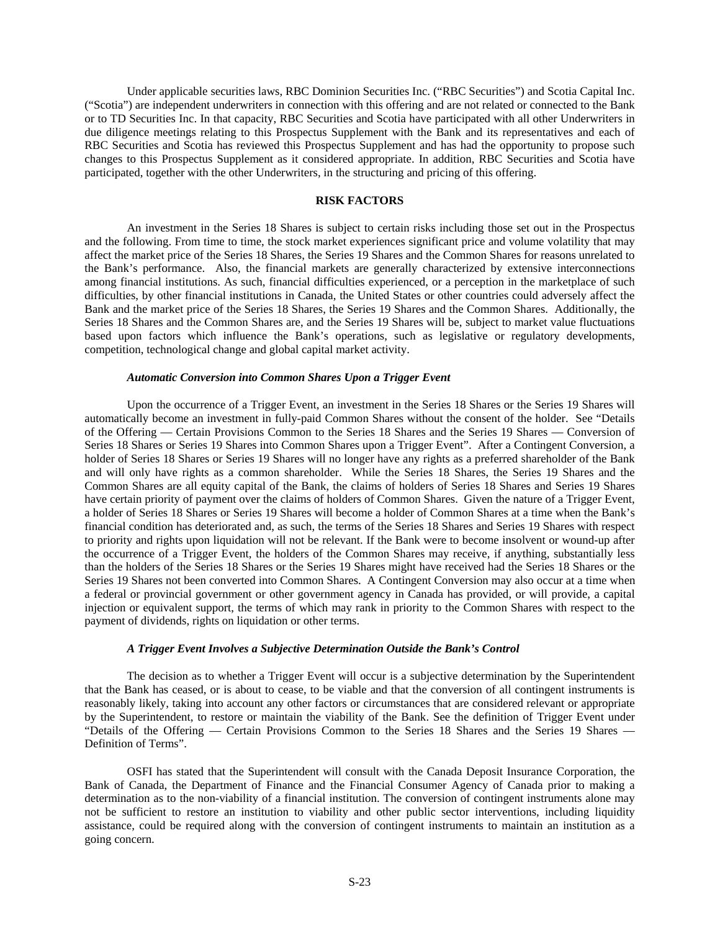Under applicable securities laws, RBC Dominion Securities Inc. ("RBC Securities") and Scotia Capital Inc. ("Scotia") are independent underwriters in connection with this offering and are not related or connected to the Bank or to TD Securities Inc. In that capacity, RBC Securities and Scotia have participated with all other Underwriters in due diligence meetings relating to this Prospectus Supplement with the Bank and its representatives and each of RBC Securities and Scotia has reviewed this Prospectus Supplement and has had the opportunity to propose such changes to this Prospectus Supplement as it considered appropriate. In addition, RBC Securities and Scotia have participated, together with the other Underwriters, in the structuring and pricing of this offering.

# **RISK FACTORS**

An investment in the Series 18 Shares is subject to certain risks including those set out in the Prospectus and the following. From time to time, the stock market experiences significant price and volume volatility that may affect the market price of the Series 18 Shares, the Series 19 Shares and the Common Shares for reasons unrelated to the Bank's performance. Also, the financial markets are generally characterized by extensive interconnections among financial institutions. As such, financial difficulties experienced, or a perception in the marketplace of such difficulties, by other financial institutions in Canada, the United States or other countries could adversely affect the Bank and the market price of the Series 18 Shares, the Series 19 Shares and the Common Shares. Additionally, the Series 18 Shares and the Common Shares are, and the Series 19 Shares will be, subject to market value fluctuations based upon factors which influence the Bank's operations, such as legislative or regulatory developments, competition, technological change and global capital market activity.

#### *Automatic Conversion into Common Shares Upon a Trigger Event*

Upon the occurrence of a Trigger Event, an investment in the Series 18 Shares or the Series 19 Shares will automatically become an investment in fully-paid Common Shares without the consent of the holder. See "Details of the Offering — Certain Provisions Common to the Series 18 Shares and the Series 19 Shares — Conversion of Series 18 Shares or Series 19 Shares into Common Shares upon a Trigger Event". After a Contingent Conversion, a holder of Series 18 Shares or Series 19 Shares will no longer have any rights as a preferred shareholder of the Bank and will only have rights as a common shareholder. While the Series 18 Shares, the Series 19 Shares and the Common Shares are all equity capital of the Bank, the claims of holders of Series 18 Shares and Series 19 Shares have certain priority of payment over the claims of holders of Common Shares. Given the nature of a Trigger Event, a holder of Series 18 Shares or Series 19 Shares will become a holder of Common Shares at a time when the Bank's financial condition has deteriorated and, as such, the terms of the Series 18 Shares and Series 19 Shares with respect to priority and rights upon liquidation will not be relevant. If the Bank were to become insolvent or wound-up after the occurrence of a Trigger Event, the holders of the Common Shares may receive, if anything, substantially less than the holders of the Series 18 Shares or the Series 19 Shares might have received had the Series 18 Shares or the Series 19 Shares not been converted into Common Shares. A Contingent Conversion may also occur at a time when a federal or provincial government or other government agency in Canada has provided, or will provide, a capital injection or equivalent support, the terms of which may rank in priority to the Common Shares with respect to the payment of dividends, rights on liquidation or other terms.

#### *A Trigger Event Involves a Subjective Determination Outside the Bank's Control*

The decision as to whether a Trigger Event will occur is a subjective determination by the Superintendent that the Bank has ceased, or is about to cease, to be viable and that the conversion of all contingent instruments is reasonably likely, taking into account any other factors or circumstances that are considered relevant or appropriate by the Superintendent, to restore or maintain the viability of the Bank. See the definition of Trigger Event under "Details of the Offering — Certain Provisions Common to the Series 18 Shares and the Series 19 Shares -Definition of Terms".

OSFI has stated that the Superintendent will consult with the Canada Deposit Insurance Corporation, the Bank of Canada, the Department of Finance and the Financial Consumer Agency of Canada prior to making a determination as to the non-viability of a financial institution. The conversion of contingent instruments alone may not be sufficient to restore an institution to viability and other public sector interventions, including liquidity assistance, could be required along with the conversion of contingent instruments to maintain an institution as a going concern.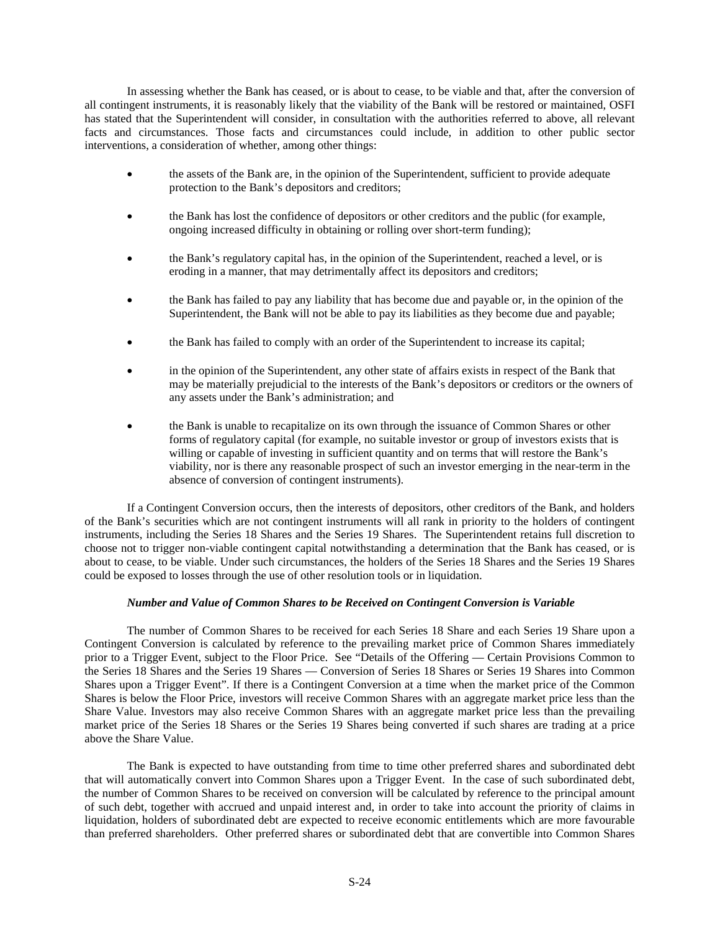In assessing whether the Bank has ceased, or is about to cease, to be viable and that, after the conversion of all contingent instruments, it is reasonably likely that the viability of the Bank will be restored or maintained, OSFI has stated that the Superintendent will consider, in consultation with the authorities referred to above, all relevant facts and circumstances. Those facts and circumstances could include, in addition to other public sector interventions, a consideration of whether, among other things:

- the assets of the Bank are, in the opinion of the Superintendent, sufficient to provide adequate protection to the Bank's depositors and creditors;
- the Bank has lost the confidence of depositors or other creditors and the public (for example, ongoing increased difficulty in obtaining or rolling over short-term funding);
- the Bank's regulatory capital has, in the opinion of the Superintendent, reached a level, or is eroding in a manner, that may detrimentally affect its depositors and creditors;
- the Bank has failed to pay any liability that has become due and payable or, in the opinion of the Superintendent, the Bank will not be able to pay its liabilities as they become due and payable;
- the Bank has failed to comply with an order of the Superintendent to increase its capital;
- in the opinion of the Superintendent, any other state of affairs exists in respect of the Bank that may be materially prejudicial to the interests of the Bank's depositors or creditors or the owners of any assets under the Bank's administration; and
- the Bank is unable to recapitalize on its own through the issuance of Common Shares or other forms of regulatory capital (for example, no suitable investor or group of investors exists that is willing or capable of investing in sufficient quantity and on terms that will restore the Bank's viability, nor is there any reasonable prospect of such an investor emerging in the near-term in the absence of conversion of contingent instruments).

If a Contingent Conversion occurs, then the interests of depositors, other creditors of the Bank, and holders of the Bank's securities which are not contingent instruments will all rank in priority to the holders of contingent instruments, including the Series 18 Shares and the Series 19 Shares. The Superintendent retains full discretion to choose not to trigger non-viable contingent capital notwithstanding a determination that the Bank has ceased, or is about to cease, to be viable. Under such circumstances, the holders of the Series 18 Shares and the Series 19 Shares could be exposed to losses through the use of other resolution tools or in liquidation.

# *Number and Value of Common Shares to be Received on Contingent Conversion is Variable*

The number of Common Shares to be received for each Series 18 Share and each Series 19 Share upon a Contingent Conversion is calculated by reference to the prevailing market price of Common Shares immediately prior to a Trigger Event, subject to the Floor Price. See "Details of the Offering — Certain Provisions Common to the Series 18 Shares and the Series 19 Shares — Conversion of Series 18 Shares or Series 19 Shares into Common Shares upon a Trigger Event". If there is a Contingent Conversion at a time when the market price of the Common Shares is below the Floor Price, investors will receive Common Shares with an aggregate market price less than the Share Value. Investors may also receive Common Shares with an aggregate market price less than the prevailing market price of the Series 18 Shares or the Series 19 Shares being converted if such shares are trading at a price above the Share Value.

The Bank is expected to have outstanding from time to time other preferred shares and subordinated debt that will automatically convert into Common Shares upon a Trigger Event. In the case of such subordinated debt, the number of Common Shares to be received on conversion will be calculated by reference to the principal amount of such debt, together with accrued and unpaid interest and, in order to take into account the priority of claims in liquidation, holders of subordinated debt are expected to receive economic entitlements which are more favourable than preferred shareholders. Other preferred shares or subordinated debt that are convertible into Common Shares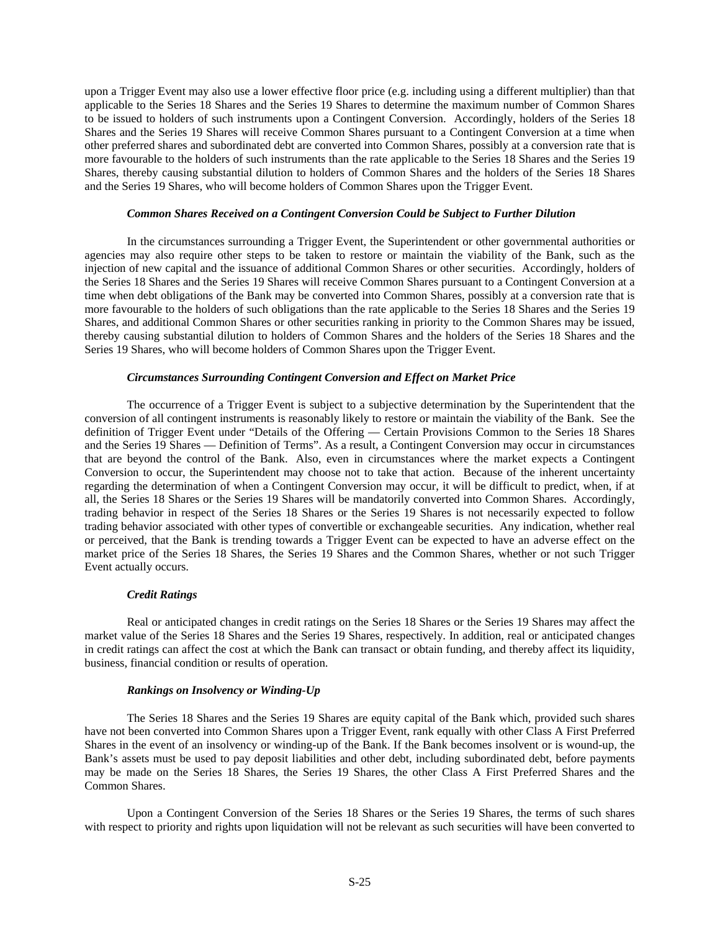upon a Trigger Event may also use a lower effective floor price (e.g. including using a different multiplier) than that applicable to the Series 18 Shares and the Series 19 Shares to determine the maximum number of Common Shares to be issued to holders of such instruments upon a Contingent Conversion. Accordingly, holders of the Series 18 Shares and the Series 19 Shares will receive Common Shares pursuant to a Contingent Conversion at a time when other preferred shares and subordinated debt are converted into Common Shares, possibly at a conversion rate that is more favourable to the holders of such instruments than the rate applicable to the Series 18 Shares and the Series 19 Shares, thereby causing substantial dilution to holders of Common Shares and the holders of the Series 18 Shares and the Series 19 Shares, who will become holders of Common Shares upon the Trigger Event.

# *Common Shares Received on a Contingent Conversion Could be Subject to Further Dilution*

In the circumstances surrounding a Trigger Event, the Superintendent or other governmental authorities or agencies may also require other steps to be taken to restore or maintain the viability of the Bank, such as the injection of new capital and the issuance of additional Common Shares or other securities. Accordingly, holders of the Series 18 Shares and the Series 19 Shares will receive Common Shares pursuant to a Contingent Conversion at a time when debt obligations of the Bank may be converted into Common Shares, possibly at a conversion rate that is more favourable to the holders of such obligations than the rate applicable to the Series 18 Shares and the Series 19 Shares, and additional Common Shares or other securities ranking in priority to the Common Shares may be issued, thereby causing substantial dilution to holders of Common Shares and the holders of the Series 18 Shares and the Series 19 Shares, who will become holders of Common Shares upon the Trigger Event.

## *Circumstances Surrounding Contingent Conversion and Effect on Market Price*

The occurrence of a Trigger Event is subject to a subjective determination by the Superintendent that the conversion of all contingent instruments is reasonably likely to restore or maintain the viability of the Bank. See the definition of Trigger Event under "Details of the Offering — Certain Provisions Common to the Series 18 Shares and the Series 19 Shares — Definition of Terms". As a result, a Contingent Conversion may occur in circumstances that are beyond the control of the Bank. Also, even in circumstances where the market expects a Contingent Conversion to occur, the Superintendent may choose not to take that action. Because of the inherent uncertainty regarding the determination of when a Contingent Conversion may occur, it will be difficult to predict, when, if at all, the Series 18 Shares or the Series 19 Shares will be mandatorily converted into Common Shares. Accordingly, trading behavior in respect of the Series 18 Shares or the Series 19 Shares is not necessarily expected to follow trading behavior associated with other types of convertible or exchangeable securities. Any indication, whether real or perceived, that the Bank is trending towards a Trigger Event can be expected to have an adverse effect on the market price of the Series 18 Shares, the Series 19 Shares and the Common Shares, whether or not such Trigger Event actually occurs.

## *Credit Ratings*

Real or anticipated changes in credit ratings on the Series 18 Shares or the Series 19 Shares may affect the market value of the Series 18 Shares and the Series 19 Shares, respectively. In addition, real or anticipated changes in credit ratings can affect the cost at which the Bank can transact or obtain funding, and thereby affect its liquidity, business, financial condition or results of operation.

## *Rankings on Insolvency or Winding-Up*

The Series 18 Shares and the Series 19 Shares are equity capital of the Bank which, provided such shares have not been converted into Common Shares upon a Trigger Event, rank equally with other Class A First Preferred Shares in the event of an insolvency or winding-up of the Bank. If the Bank becomes insolvent or is wound-up, the Bank's assets must be used to pay deposit liabilities and other debt, including subordinated debt, before payments may be made on the Series 18 Shares, the Series 19 Shares, the other Class A First Preferred Shares and the Common Shares.

Upon a Contingent Conversion of the Series 18 Shares or the Series 19 Shares, the terms of such shares with respect to priority and rights upon liquidation will not be relevant as such securities will have been converted to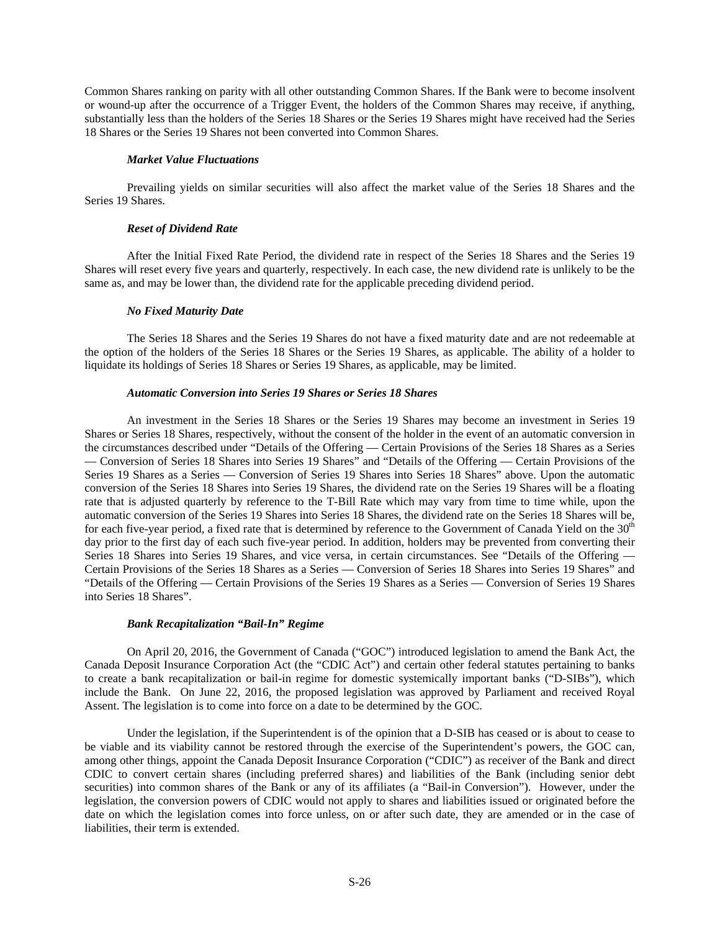Common Shares ranking on parity with all other outstanding Common Shares. If the Bank were to become insolvent or wound-up after the occurrence of a Trigger Event, the holders of the Common Shares may receive, if anything, substantially less than the holders of the Series 18 Shares or the Series 19 Shares might have received had the Series 18 Shares or the Series 19 Shares not been converted into Common Shares.

# *Market Value Fluctuations*

Prevailing yields on similar securities will also affect the market value of the Series 18 Shares and the Series 19 Shares.

# *Reset of Dividend Rate*

After the Initial Fixed Rate Period, the dividend rate in respect of the Series 18 Shares and the Series 19 Shares will reset every five years and quarterly, respectively. In each case, the new dividend rate is unlikely to be the same as, and may be lower than, the dividend rate for the applicable preceding dividend period.

# *No Fixed Maturity Date*

The Series 18 Shares and the Series 19 Shares do not have a fixed maturity date and are not redeemable at the option of the holders of the Series 18 Shares or the Series 19 Shares, as applicable. The ability of a holder to liquidate its holdings of Series 18 Shares or Series 19 Shares, as applicable, may be limited.

## *Automatic Conversion into Series 19 Shares or Series 18 Shares*

An investment in the Series 18 Shares or the Series 19 Shares may become an investment in Series 19 Shares or Series 18 Shares, respectively, without the consent of the holder in the event of an automatic conversion in the circumstances described under "Details of the Offering — Certain Provisions of the Series 18 Shares as a Series — Conversion of Series 18 Shares into Series 19 Shares" and "Details of the Offering — Certain Provisions of the Series 19 Shares as a Series — Conversion of Series 19 Shares into Series 18 Shares" above. Upon the automatic conversion of the Series 18 Shares into Series 19 Shares, the dividend rate on the Series 19 Shares will be a floating rate that is adjusted quarterly by reference to the T-Bill Rate which may vary from time to time while, upon the automatic conversion of the Series 19 Shares into Series 18 Shares, the dividend rate on the Series 18 Shares will be, for each five-year period, a fixed rate that is determined by reference to the Government of Canada Yield on the  $30<sup>th</sup>$ day prior to the first day of each such five-year period. In addition, holders may be prevented from converting their Series 18 Shares into Series 19 Shares, and vice versa, in certain circumstances. See "Details of the Offering — Certain Provisions of the Series 18 Shares as a Series — Conversion of Series 18 Shares into Series 19 Shares" and "Details of the Offering — Certain Provisions of the Series 19 Shares as a Series — Conversion of Series 19 Shares into Series 18 Shares".

## *Bank Recapitalization "Bail-In" Regime*

On April 20, 2016, the Government of Canada ("GOC") introduced legislation to amend the Bank Act, the Canada Deposit Insurance Corporation Act (the "CDIC Act") and certain other federal statutes pertaining to banks to create a bank recapitalization or bail-in regime for domestic systemically important banks ("D-SIBs"), which include the Bank. On June 22, 2016, the proposed legislation was approved by Parliament and received Royal Assent. The legislation is to come into force on a date to be determined by the GOC.

Under the legislation, if the Superintendent is of the opinion that a D-SIB has ceased or is about to cease to be viable and its viability cannot be restored through the exercise of the Superintendent's powers, the GOC can, among other things, appoint the Canada Deposit Insurance Corporation ("CDIC") as receiver of the Bank and direct CDIC to convert certain shares (including preferred shares) and liabilities of the Bank (including senior debt securities) into common shares of the Bank or any of its affiliates (a "Bail-in Conversion"). However, under the legislation, the conversion powers of CDIC would not apply to shares and liabilities issued or originated before the date on which the legislation comes into force unless, on or after such date, they are amended or in the case of liabilities, their term is extended.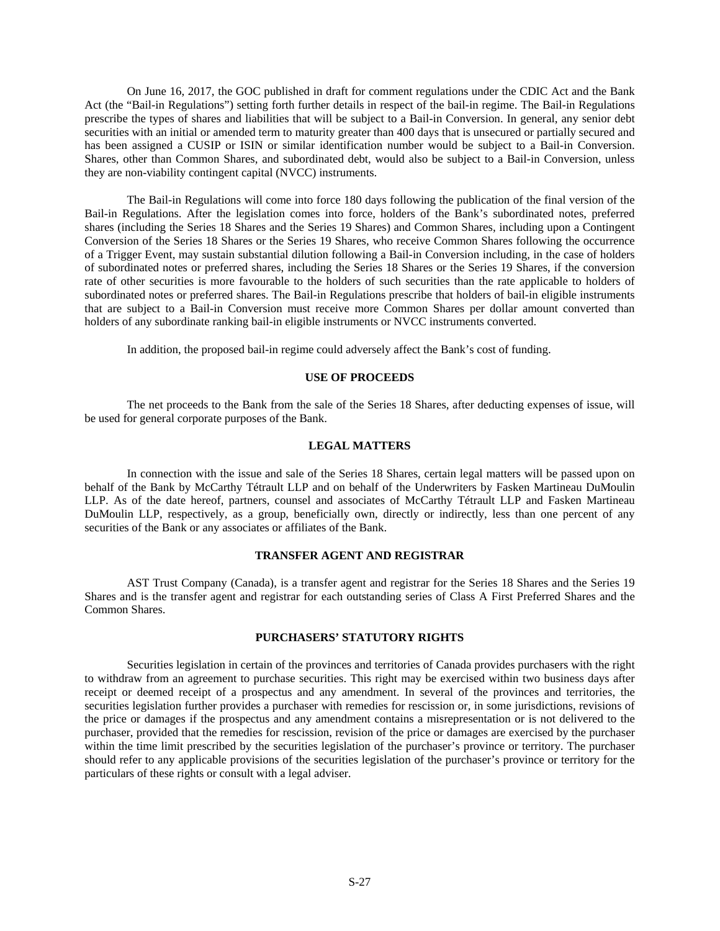On June 16, 2017, the GOC published in draft for comment regulations under the CDIC Act and the Bank Act (the "Bail-in Regulations") setting forth further details in respect of the bail-in regime. The Bail-in Regulations prescribe the types of shares and liabilities that will be subject to a Bail-in Conversion. In general, any senior debt securities with an initial or amended term to maturity greater than 400 days that is unsecured or partially secured and has been assigned a CUSIP or ISIN or similar identification number would be subject to a Bail-in Conversion. Shares, other than Common Shares, and subordinated debt, would also be subject to a Bail-in Conversion, unless they are non-viability contingent capital (NVCC) instruments.

The Bail-in Regulations will come into force 180 days following the publication of the final version of the Bail-in Regulations. After the legislation comes into force, holders of the Bank's subordinated notes, preferred shares (including the Series 18 Shares and the Series 19 Shares) and Common Shares, including upon a Contingent Conversion of the Series 18 Shares or the Series 19 Shares, who receive Common Shares following the occurrence of a Trigger Event, may sustain substantial dilution following a Bail-in Conversion including, in the case of holders of subordinated notes or preferred shares, including the Series 18 Shares or the Series 19 Shares, if the conversion rate of other securities is more favourable to the holders of such securities than the rate applicable to holders of subordinated notes or preferred shares. The Bail-in Regulations prescribe that holders of bail-in eligible instruments that are subject to a Bail-in Conversion must receive more Common Shares per dollar amount converted than holders of any subordinate ranking bail-in eligible instruments or NVCC instruments converted.

In addition, the proposed bail-in regime could adversely affect the Bank's cost of funding.

# **USE OF PROCEEDS**

The net proceeds to the Bank from the sale of the Series 18 Shares, after deducting expenses of issue, will be used for general corporate purposes of the Bank.

# **LEGAL MATTERS**

In connection with the issue and sale of the Series 18 Shares, certain legal matters will be passed upon on behalf of the Bank by McCarthy Tétrault LLP and on behalf of the Underwriters by Fasken Martineau DuMoulin LLP. As of the date hereof, partners, counsel and associates of McCarthy Tétrault LLP and Fasken Martineau DuMoulin LLP, respectively, as a group, beneficially own, directly or indirectly, less than one percent of any securities of the Bank or any associates or affiliates of the Bank.

#### **TRANSFER AGENT AND REGISTRAR**

AST Trust Company (Canada), is a transfer agent and registrar for the Series 18 Shares and the Series 19 Shares and is the transfer agent and registrar for each outstanding series of Class A First Preferred Shares and the Common Shares.

# **PURCHASERS' STATUTORY RIGHTS**

Securities legislation in certain of the provinces and territories of Canada provides purchasers with the right to withdraw from an agreement to purchase securities. This right may be exercised within two business days after receipt or deemed receipt of a prospectus and any amendment. In several of the provinces and territories, the securities legislation further provides a purchaser with remedies for rescission or, in some jurisdictions, revisions of the price or damages if the prospectus and any amendment contains a misrepresentation or is not delivered to the purchaser, provided that the remedies for rescission, revision of the price or damages are exercised by the purchaser within the time limit prescribed by the securities legislation of the purchaser's province or territory. The purchaser should refer to any applicable provisions of the securities legislation of the purchaser's province or territory for the particulars of these rights or consult with a legal adviser.